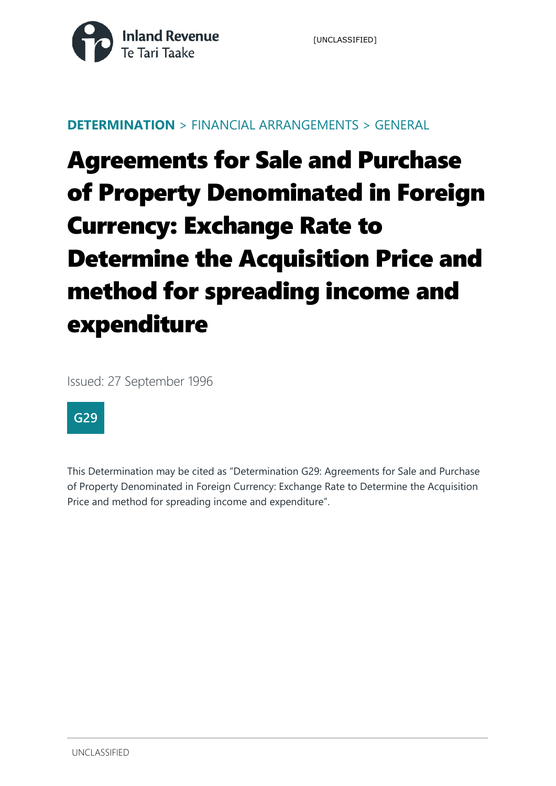

### **DETERMINATION** > FINANCIAL ARRANGEMENTS > GENERAL

# Agreements for Sale and Purchase of Property Denominated in Foreign Currency: Exchange Rate to Determine the Acquisition Price and method for spreading income and expenditure

Issued: 27 September 1996



This Determination may be cited as "Determination G29: Agreements for Sale and Purchase of Property Denominated in Foreign Currency: Exchange Rate to Determine the Acquisition Price and method for spreading income and expenditure".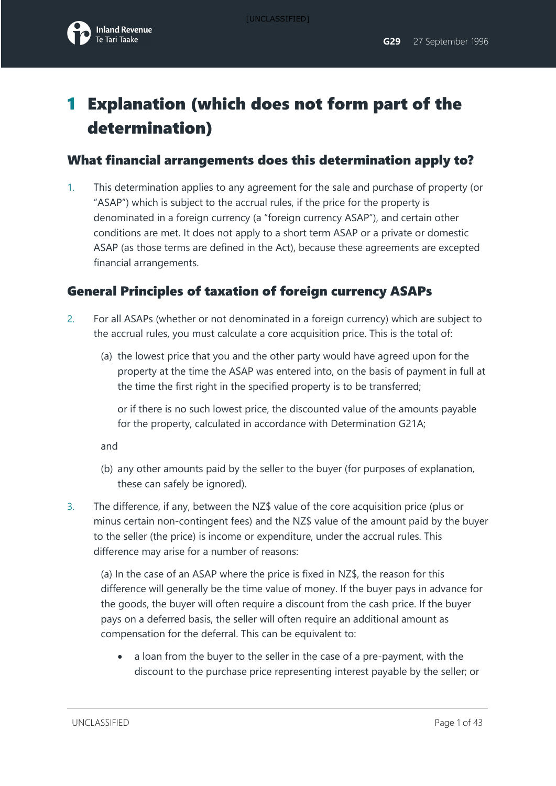

## 1 Explanation (which does not form part of the determination)

## What financial arrangements does this determination apply to?

1. This determination applies to any agreement for the sale and purchase of property (or "ASAP") which is subject to the accrual rules, if the price for the property is denominated in a foreign currency (a "foreign currency ASAP"), and certain other conditions are met. It does not apply to a short term ASAP or a private or domestic ASAP (as those terms are defined in the Act), because these agreements are excepted financial arrangements.

### General Principles of taxation of foreign currency ASAPs

- 2. For all ASAPs (whether or not denominated in a foreign currency) which are subject to the accrual rules, you must calculate a core acquisition price. This is the total of:
	- (a) the lowest price that you and the other party would have agreed upon for the property at the time the ASAP was entered into, on the basis of payment in full at the time the first right in the specified property is to be transferred;

or if there is no such lowest price, the discounted value of the amounts payable for the property, calculated in accordance with Determination G21A;

and

- (b) any other amounts paid by the seller to the buyer (for purposes of explanation, these can safely be ignored).
- 3. The difference, if any, between the NZ\$ value of the core acquisition price (plus or minus certain non-contingent fees) and the NZ\$ value of the amount paid by the buyer to the seller (the price) is income or expenditure, under the accrual rules. This difference may arise for a number of reasons:

(a) In the case of an ASAP where the price is fixed in NZ\$, the reason for this difference will generally be the time value of money. If the buyer pays in advance for the goods, the buyer will often require a discount from the cash price. If the buyer pays on a deferred basis, the seller will often require an additional amount as compensation for the deferral. This can be equivalent to:

• a loan from the buyer to the seller in the case of a pre-payment, with the discount to the purchase price representing interest payable by the seller; or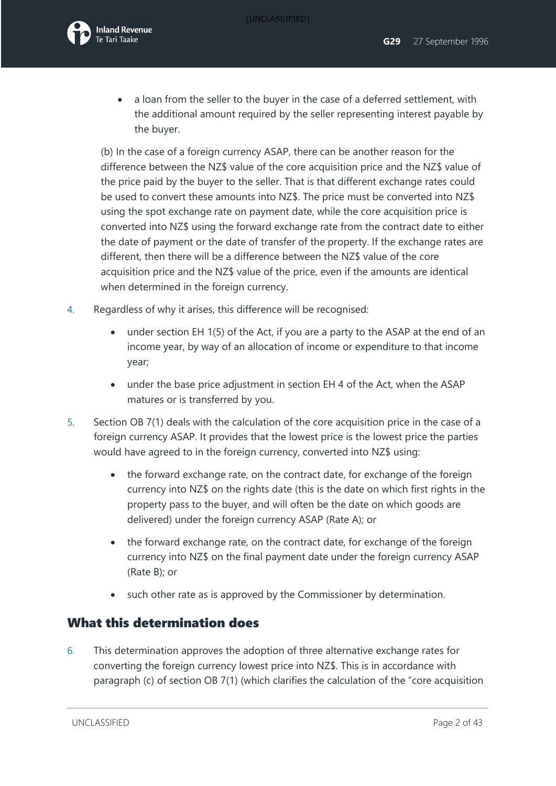

• a loan from the seller to the buyer in the case of a deferred settlement, with the additional amount required by the seller representing interest payable by the buyer.

(b) In the case of a foreign currency ASAP, there can be another reason for the difference between the NZ\$ value of the core acquisition price and the NZ\$ value of the price paid by the buyer to the seller. That is that different exchange rates could be used to convert these amounts into NZ\$. The price must be converted into NZ\$ using the spot exchange rate on payment date, while the core acquisition price is converted into NZ\$ using the forward exchange rate from the contract date to either the date of payment or the date of transfer of the property. If the exchange rates are different, then there will be a difference between the NZ\$ value of the core acquisition price and the NZ\$ value of the price, even if the amounts are identical when determined in the foreign currency.

- 4. Regardless of why it arises, this difference will be recognised:
	- under section EH 1(5) of the Act, if you are a party to the ASAP at the end of an income year, by way of an allocation of income or expenditure to that income year;
	- under the base price adjustment in section EH 4 of the Act, when the ASAP matures or is transferred by you.
- 5. Section OB 7(1) deals with the calculation of the core acquisition price in the case of a foreign currency ASAP. It provides that the lowest price is the lowest price the parties would have agreed to in the foreign currency, converted into NZ\$ using:
	- the forward exchange rate, on the contract date, for exchange of the foreign currency into NZ\$ on the rights date (this is the date on which first rights in the property pass to the buyer, and will often be the date on which goods are delivered) under the foreign currency ASAP (Rate A); or
	- the forward exchange rate, on the contract date, for exchange of the foreign currency into NZ\$ on the final payment date under the foreign currency ASAP (Rate B); or
	- such other rate as is approved by the Commissioner by determination.

### What this determination does

6. This determination approves the adoption of three alternative exchange rates for converting the foreign currency lowest price into NZ\$. This is in accordance with paragraph (c) of section OB 7(1) (which clarifies the calculation of the "core acquisition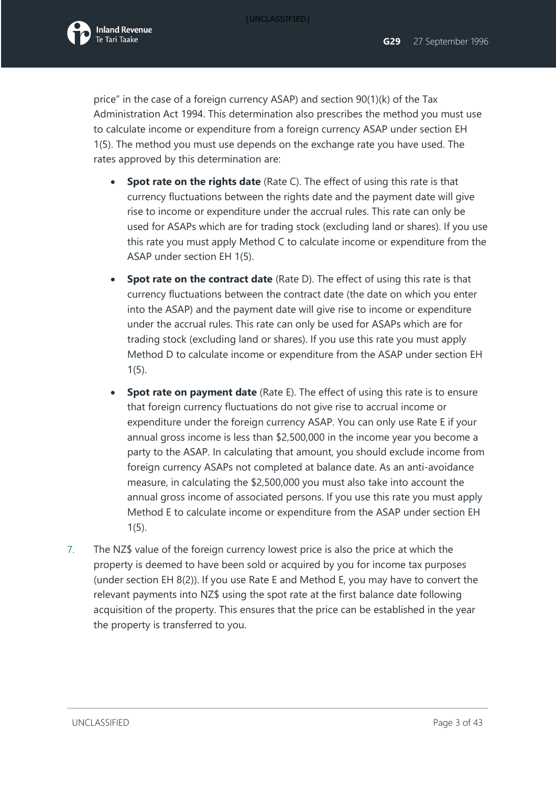

price" in the case of a foreign currency ASAP) and section 90(1)(k) of the Tax Administration Act 1994. This determination also prescribes the method you must use to calculate income or expenditure from a foreign currency ASAP under section EH 1(5). The method you must use depends on the exchange rate you have used. The rates approved by this determination are:

- **Spot rate on the rights date** (Rate C). The effect of using this rate is that currency fluctuations between the rights date and the payment date will give rise to income or expenditure under the accrual rules. This rate can only be used for ASAPs which are for trading stock (excluding land or shares). If you use this rate you must apply Method C to calculate income or expenditure from the ASAP under section EH 1(5).
- **Spot rate on the contract date** (Rate D). The effect of using this rate is that currency fluctuations between the contract date (the date on which you enter into the ASAP) and the payment date will give rise to income or expenditure under the accrual rules. This rate can only be used for ASAPs which are for trading stock (excluding land or shares). If you use this rate you must apply Method D to calculate income or expenditure from the ASAP under section EH 1(5).
- **Spot rate on payment date** (Rate E). The effect of using this rate is to ensure that foreign currency fluctuations do not give rise to accrual income or expenditure under the foreign currency ASAP. You can only use Rate E if your annual gross income is less than \$2,500,000 in the income year you become a party to the ASAP. In calculating that amount, you should exclude income from foreign currency ASAPs not completed at balance date. As an anti-avoidance measure, in calculating the \$2,500,000 you must also take into account the annual gross income of associated persons. If you use this rate you must apply Method E to calculate income or expenditure from the ASAP under section EH 1(5).
- 7. The NZ\$ value of the foreign currency lowest price is also the price at which the property is deemed to have been sold or acquired by you for income tax purposes (under section EH 8(2)). If you use Rate E and Method E, you may have to convert the relevant payments into NZ\$ using the spot rate at the first balance date following acquisition of the property. This ensures that the price can be established in the year the property is transferred to you.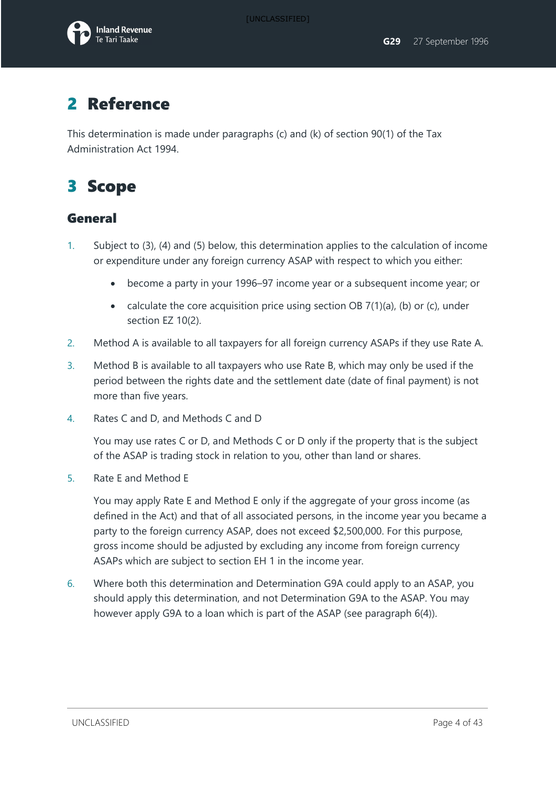

## 2 Reference

This determination is made under paragraphs (c) and (k) of section 90(1) of the Tax Administration Act 1994.

## 3 Scope

### General

- 1. Subject to (3), (4) and (5) below, this determination applies to the calculation of income or expenditure under any foreign currency ASAP with respect to which you either:
	- become a party in your 1996–97 income year or a subsequent income year; or
	- calculate the core acquisition price using section OB  $7(1)(a)$ , (b) or (c), under section EZ 10(2).
- 2. Method A is available to all taxpayers for all foreign currency ASAPs if they use Rate A.
- 3. Method B is available to all taxpayers who use Rate B, which may only be used if the period between the rights date and the settlement date (date of final payment) is not more than five years.
- 4. Rates C and D, and Methods C and D

You may use rates C or D, and Methods C or D only if the property that is the subject of the ASAP is trading stock in relation to you, other than land or shares.

5. Rate E and Method E

You may apply Rate E and Method E only if the aggregate of your gross income (as defined in the Act) and that of all associated persons, in the income year you became a party to the foreign currency ASAP, does not exceed \$2,500,000. For this purpose, gross income should be adjusted by excluding any income from foreign currency ASAPs which are subject to section EH 1 in the income year.

6. Where both this determination and Determination G9A could apply to an ASAP, you should apply this determination, and not Determination G9A to the ASAP. You may however apply G9A to a loan which is part of the ASAP (see paragraph 6(4)).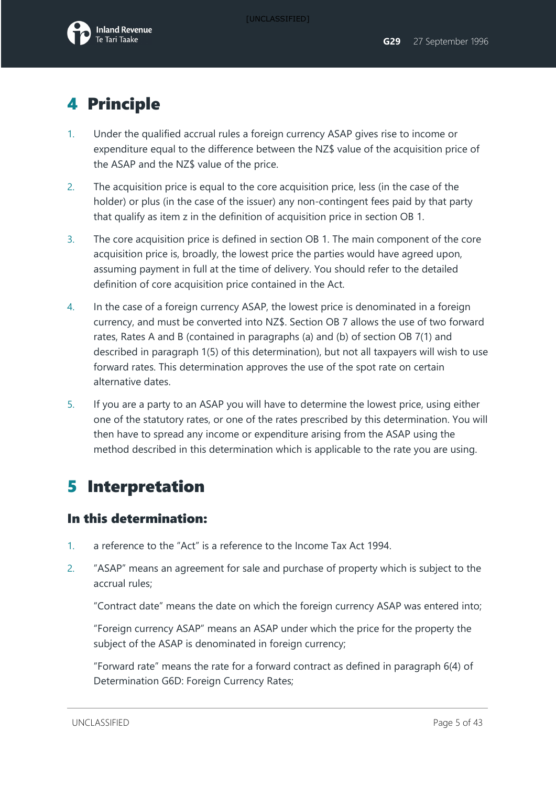

## 4 Principle

- 1. Under the qualified accrual rules a foreign currency ASAP gives rise to income or expenditure equal to the difference between the NZ\$ value of the acquisition price of the ASAP and the NZ\$ value of the price.
- 2. The acquisition price is equal to the core acquisition price, less (in the case of the holder) or plus (in the case of the issuer) any non-contingent fees paid by that party that qualify as item z in the definition of acquisition price in section OB 1.
- 3. The core acquisition price is defined in section OB 1. The main component of the core acquisition price is, broadly, the lowest price the parties would have agreed upon, assuming payment in full at the time of delivery. You should refer to the detailed definition of core acquisition price contained in the Act.
- 4. In the case of a foreign currency ASAP, the lowest price is denominated in a foreign currency, and must be converted into NZ\$. Section OB 7 allows the use of two forward rates, Rates A and B (contained in paragraphs (a) and (b) of section OB 7(1) and described in paragraph 1(5) of this determination), but not all taxpayers will wish to use forward rates. This determination approves the use of the spot rate on certain alternative dates.
- 5. If you are a party to an ASAP you will have to determine the lowest price, using either one of the statutory rates, or one of the rates prescribed by this determination. You will then have to spread any income or expenditure arising from the ASAP using the method described in this determination which is applicable to the rate you are using.

## 5 Interpretation

### In this determination:

- 1. a reference to the "Act" is a reference to the Income Tax Act 1994.
- 2. "ASAP" means an agreement for sale and purchase of property which is subject to the accrual rules;

"Contract date" means the date on which the foreign currency ASAP was entered into;

"Foreign currency ASAP" means an ASAP under which the price for the property the subject of the ASAP is denominated in foreign currency;

"Forward rate" means the rate for a forward contract as defined in paragraph 6(4) of Determination G6D: Foreign Currency Rates;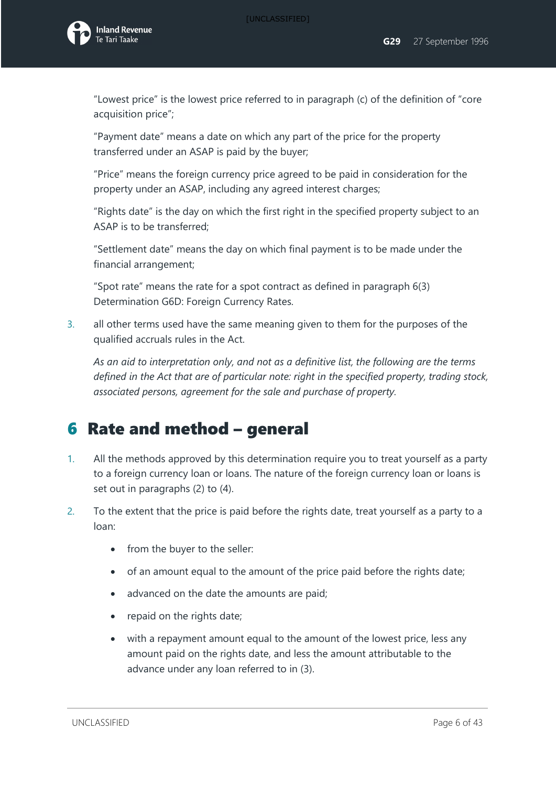

"Lowest price" is the lowest price referred to in paragraph (c) of the definition of "core acquisition price";

"Payment date" means a date on which any part of the price for the property transferred under an ASAP is paid by the buyer;

"Price" means the foreign currency price agreed to be paid in consideration for the property under an ASAP, including any agreed interest charges;

"Rights date" is the day on which the first right in the specified property subject to an ASAP is to be transferred;

"Settlement date" means the day on which final payment is to be made under the financial arrangement;

"Spot rate" means the rate for a spot contract as defined in paragraph 6(3) Determination G6D: Foreign Currency Rates.

3. all other terms used have the same meaning given to them for the purposes of the qualified accruals rules in the Act.

*As an aid to interpretation only, and not as a definitive list, the following are the terms defined in the Act that are of particular note: right in the specified property, trading stock, associated persons, agreement for the sale and purchase of property.*

## 6 Rate and method – general

- 1. All the methods approved by this determination require you to treat yourself as a party to a foreign currency loan or loans. The nature of the foreign currency loan or loans is set out in paragraphs (2) to (4).
- 2. To the extent that the price is paid before the rights date, treat yourself as a party to a loan:
	- from the buyer to the seller:
	- of an amount equal to the amount of the price paid before the rights date;
	- advanced on the date the amounts are paid;
	- repaid on the rights date;
	- with a repayment amount equal to the amount of the lowest price, less any amount paid on the rights date, and less the amount attributable to the advance under any loan referred to in (3).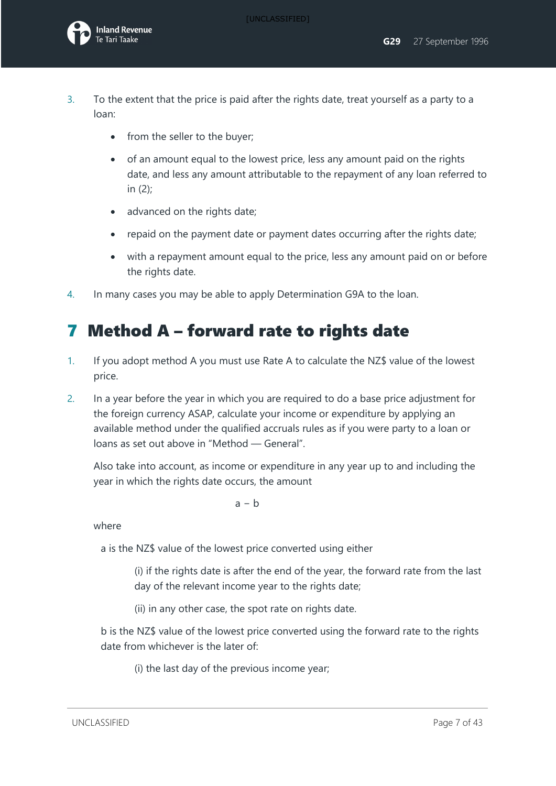- 3. To the extent that the price is paid after the rights date, treat yourself as a party to a loan:
	- from the seller to the buyer;
	- of an amount equal to the lowest price, less any amount paid on the rights date, and less any amount attributable to the repayment of any loan referred to in (2);
	- advanced on the rights date;
	- repaid on the payment date or payment dates occurring after the rights date;
	- with a repayment amount equal to the price, less any amount paid on or before the rights date.
- 4. In many cases you may be able to apply Determination G9A to the loan.

## 7 Method A – forward rate to rights date

- 1. If you adopt method A you must use Rate A to calculate the NZ\$ value of the lowest price.
- 2. In a year before the year in which you are required to do a base price adjustment for the foreign currency ASAP, calculate your income or expenditure by applying an available method under the qualified accruals rules as if you were party to a loan or loans as set out above in "Method — General".

Also take into account, as income or expenditure in any year up to and including the year in which the rights date occurs, the amount

 $a - b$ 

where

a is the NZ\$ value of the lowest price converted using either

(i) if the rights date is after the end of the year, the forward rate from the last day of the relevant income year to the rights date;

(ii) in any other case, the spot rate on rights date.

b is the NZ\$ value of the lowest price converted using the forward rate to the rights date from whichever is the later of:

(i) the last day of the previous income year;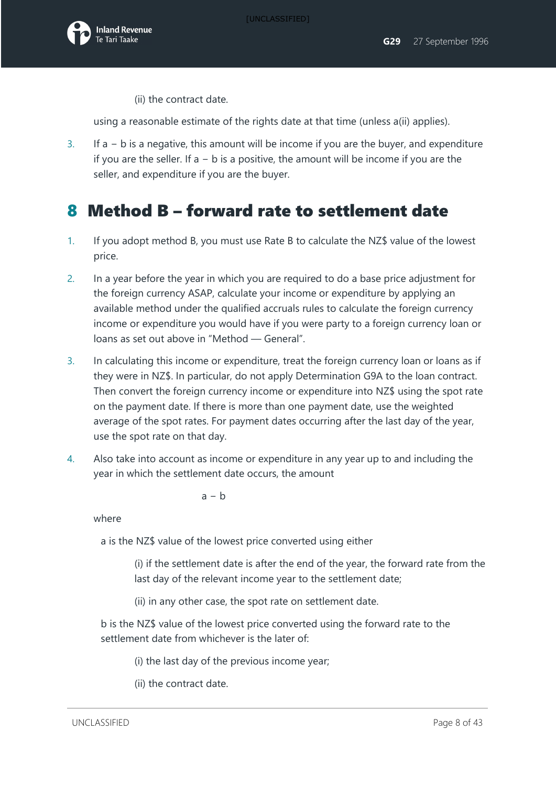

(ii) the contract date.

using a reasonable estimate of the rights date at that time (unless a(ii) applies).

3. If a − b is a negative, this amount will be income if you are the buyer, and expenditure if you are the seller. If a − b is a positive, the amount will be income if you are the seller, and expenditure if you are the buyer.

## 8 Method B – forward rate to settlement date

- 1. If you adopt method B, you must use Rate B to calculate the NZ\$ value of the lowest price.
- 2. In a year before the year in which you are required to do a base price adjustment for the foreign currency ASAP, calculate your income or expenditure by applying an available method under the qualified accruals rules to calculate the foreign currency income or expenditure you would have if you were party to a foreign currency loan or loans as set out above in "Method — General".
- 3. In calculating this income or expenditure, treat the foreign currency loan or loans as if they were in NZ\$. In particular, do not apply Determination G9A to the loan contract. Then convert the foreign currency income or expenditure into NZ\$ using the spot rate on the payment date. If there is more than one payment date, use the weighted average of the spot rates. For payment dates occurring after the last day of the year, use the spot rate on that day.
- 4. Also take into account as income or expenditure in any year up to and including the year in which the settlement date occurs, the amount

 $a - b$ 

where

a is the NZ\$ value of the lowest price converted using either

(i) if the settlement date is after the end of the year, the forward rate from the last day of the relevant income year to the settlement date;

(ii) in any other case, the spot rate on settlement date.

b is the NZ\$ value of the lowest price converted using the forward rate to the settlement date from whichever is the later of:

- (i) the last day of the previous income year;
- (ii) the contract date.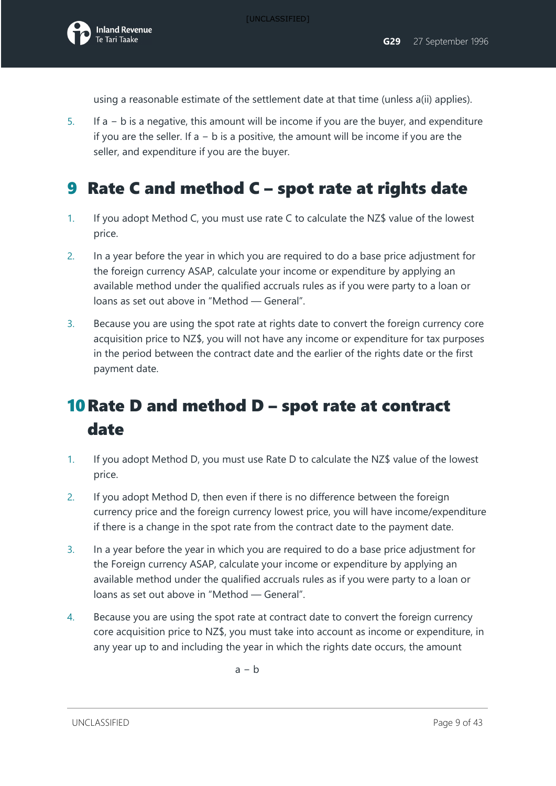using a reasonable estimate of the settlement date at that time (unless a(ii) applies).

5. If a − b is a negative, this amount will be income if you are the buyer, and expenditure if you are the seller. If a − b is a positive, the amount will be income if you are the seller, and expenditure if you are the buyer.

## 9 Rate C and method C – spot rate at rights date

- 1. If you adopt Method C, you must use rate C to calculate the NZ\$ value of the lowest price.
- 2. In a year before the year in which you are required to do a base price adjustment for the foreign currency ASAP, calculate your income or expenditure by applying an available method under the qualified accruals rules as if you were party to a loan or loans as set out above in "Method — General".
- 3. Because you are using the spot rate at rights date to convert the foreign currency core acquisition price to NZ\$, you will not have any income or expenditure for tax purposes in the period between the contract date and the earlier of the rights date or the first payment date.

## 10Rate D and method D – spot rate at contract date

- 1. If you adopt Method D, you must use Rate D to calculate the NZ\$ value of the lowest price.
- 2. If you adopt Method D, then even if there is no difference between the foreign currency price and the foreign currency lowest price, you will have income/expenditure if there is a change in the spot rate from the contract date to the payment date.
- 3. In a year before the year in which you are required to do a base price adjustment for the Foreign currency ASAP, calculate your income or expenditure by applying an available method under the qualified accruals rules as if you were party to a loan or loans as set out above in "Method — General".
- 4. Because you are using the spot rate at contract date to convert the foreign currency core acquisition price to NZ\$, you must take into account as income or expenditure, in any year up to and including the year in which the rights date occurs, the amount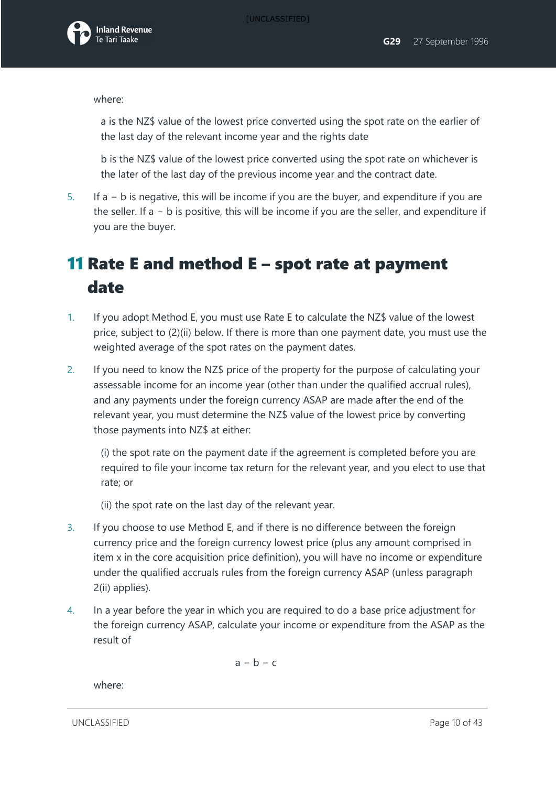where:

a is the NZ\$ value of the lowest price converted using the spot rate on the earlier of the last day of the relevant income year and the rights date

b is the NZ\$ value of the lowest price converted using the spot rate on whichever is the later of the last day of the previous income year and the contract date.

5. If a − b is negative, this will be income if you are the buyer, and expenditure if you are the seller. If a − b is positive, this will be income if you are the seller, and expenditure if you are the buyer.

## 11 Rate E and method E – spot rate at payment date

- 1. If you adopt Method E, you must use Rate E to calculate the NZ\$ value of the lowest price, subject to (2)(ii) below. If there is more than one payment date, you must use the weighted average of the spot rates on the payment dates.
- 2. If you need to know the NZ\$ price of the property for the purpose of calculating your assessable income for an income year (other than under the qualified accrual rules), and any payments under the foreign currency ASAP are made after the end of the relevant year, you must determine the NZ\$ value of the lowest price by converting those payments into NZ\$ at either:

(i) the spot rate on the payment date if the agreement is completed before you are required to file your income tax return for the relevant year, and you elect to use that rate; or

(ii) the spot rate on the last day of the relevant year.

- 3. If you choose to use Method E, and if there is no difference between the foreign currency price and the foreign currency lowest price (plus any amount comprised in item x in the core acquisition price definition), you will have no income or expenditure under the qualified accruals rules from the foreign currency ASAP (unless paragraph 2(ii) applies).
- 4. In a year before the year in which you are required to do a base price adjustment for the foreign currency ASAP, calculate your income or expenditure from the ASAP as the result of

 $a - b - c$ 

where:

UNCLASSIFIED **Page 10 of 43**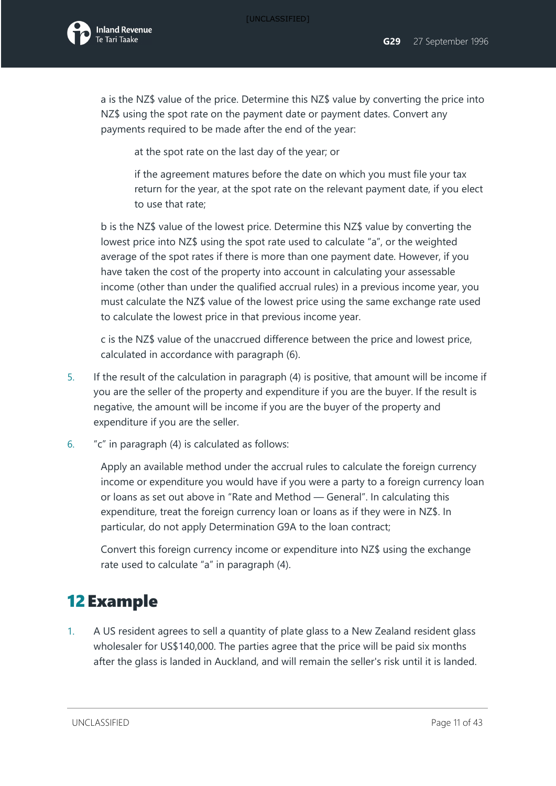

a is the NZ\$ value of the price. Determine this NZ\$ value by converting the price into NZ\$ using the spot rate on the payment date or payment dates. Convert any payments required to be made after the end of the year:

at the spot rate on the last day of the year; or

if the agreement matures before the date on which you must file your tax return for the year, at the spot rate on the relevant payment date, if you elect to use that rate;

b is the NZ\$ value of the lowest price. Determine this NZ\$ value by converting the lowest price into NZ\$ using the spot rate used to calculate "a", or the weighted average of the spot rates if there is more than one payment date. However, if you have taken the cost of the property into account in calculating your assessable income (other than under the qualified accrual rules) in a previous income year, you must calculate the NZ\$ value of the lowest price using the same exchange rate used to calculate the lowest price in that previous income year.

c is the NZ\$ value of the unaccrued difference between the price and lowest price, calculated in accordance with paragraph (6).

- 5. If the result of the calculation in paragraph (4) is positive, that amount will be income if you are the seller of the property and expenditure if you are the buyer. If the result is negative, the amount will be income if you are the buyer of the property and expenditure if you are the seller.
- 6. "c" in paragraph (4) is calculated as follows:

Apply an available method under the accrual rules to calculate the foreign currency income or expenditure you would have if you were a party to a foreign currency loan or loans as set out above in "Rate and Method — General". In calculating this expenditure, treat the foreign currency loan or loans as if they were in NZ\$. In particular, do not apply Determination G9A to the loan contract;

Convert this foreign currency income or expenditure into NZ\$ using the exchange rate used to calculate "a" in paragraph (4).

## 12Example

1. A US resident agrees to sell a quantity of plate glass to a New Zealand resident glass wholesaler for US\$140,000. The parties agree that the price will be paid six months after the glass is landed in Auckland, and will remain the seller's risk until it is landed.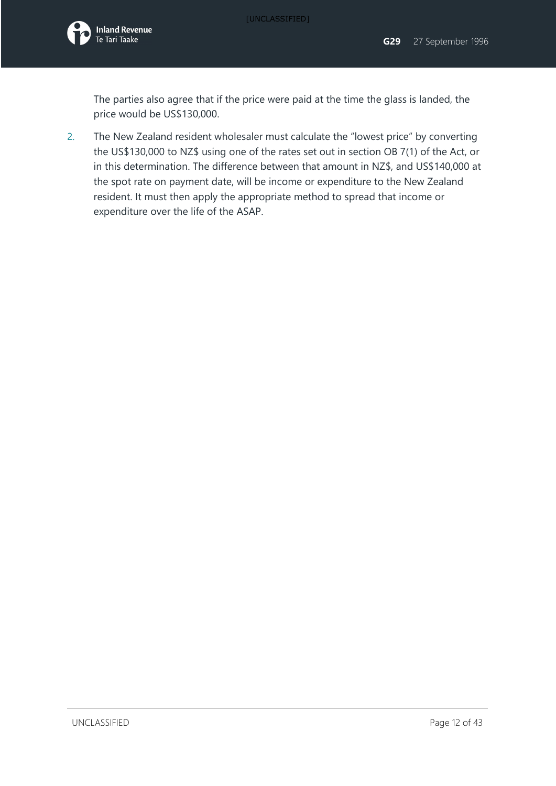The parties also agree that if the price were paid at the time the glass is landed, the price would be US\$130,000.

2. The New Zealand resident wholesaler must calculate the "lowest price" by converting the US\$130,000 to NZ\$ using one of the rates set out in section OB 7(1) of the Act, or in this determination. The difference between that amount in NZ\$, and US\$140,000 at the spot rate on payment date, will be income or expenditure to the New Zealand resident. It must then apply the appropriate method to spread that income or expenditure over the life of the ASAP.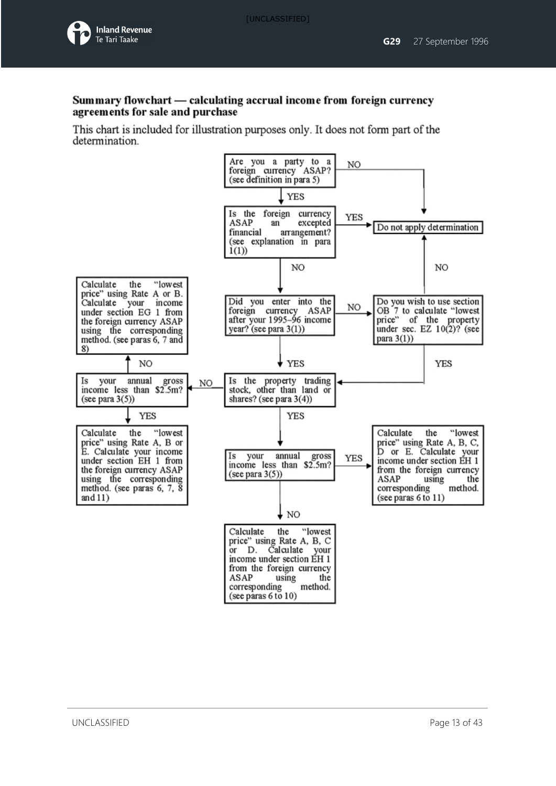

#### Summary flowchart — calculating accrual income from foreign currency agreements for sale and purchase

This chart is included for illustration purposes only. It does not form part of the determination.

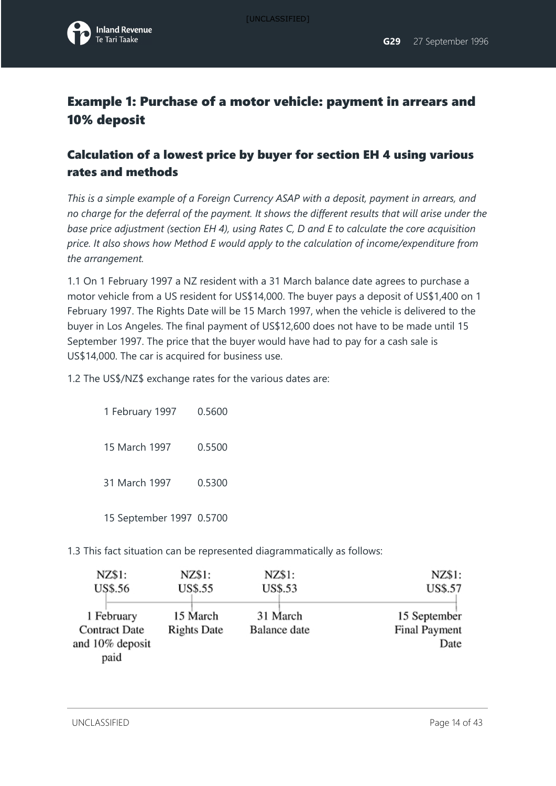

## Example 1: Purchase of a motor vehicle: payment in arrears and 10% deposit

## Calculation of a lowest price by buyer for section EH 4 using various rates and methods

*This is a simple example of a Foreign Currency ASAP with a deposit, payment in arrears, and no charge for the deferral of the payment. It shows the different results that will arise under the base price adjustment (section EH 4), using Rates C, D and E to calculate the core acquisition price. It also shows how Method E would apply to the calculation of income/expenditure from the arrangement.* 

1.1 On 1 February 1997 a NZ resident with a 31 March balance date agrees to purchase a motor vehicle from a US resident for US\$14,000. The buyer pays a deposit of US\$1,400 on 1 February 1997. The Rights Date will be 15 March 1997, when the vehicle is delivered to the buyer in Los Angeles. The final payment of US\$12,600 does not have to be made until 15 September 1997. The price that the buyer would have had to pay for a cash sale is US\$14,000. The car is acquired for business use.

1.2 The US\$/NZ\$ exchange rates for the various dates are:

1 February 1997 0.5600 15 March 1997 0.5500 31 March 1997 0.5300 15 September 1997 0.5700

1.3 This fact situation can be represented diagrammatically as follows:

| NZ\$1:                         | NZ\$1:                   | NZ\$1:                                |
|--------------------------------|--------------------------|---------------------------------------|
| US\$.55                        | US\$.53                  | <b>US\$.57</b>                        |
| 15 March<br><b>Rights Date</b> | 31 March<br>Balance date | 15 September<br>Final Payment<br>Date |
|                                |                          |                                       |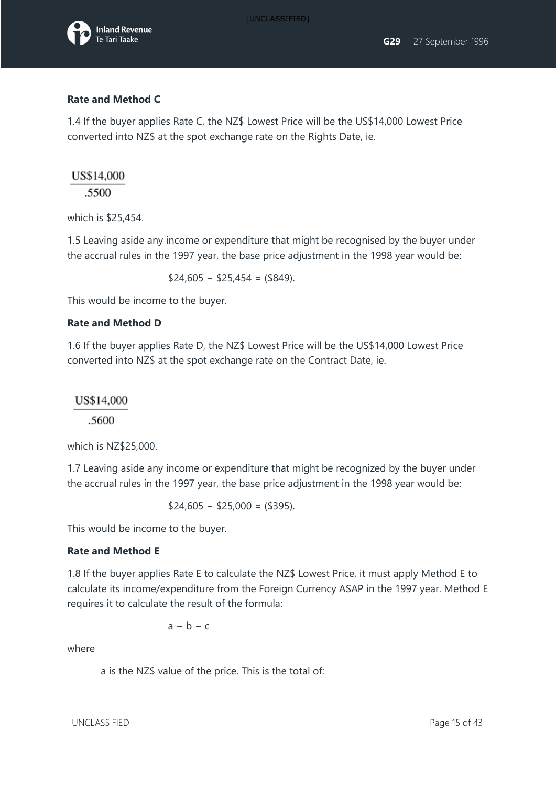

#### **Rate and Method C**

1.4 If the buyer applies Rate C, the NZ\$ Lowest Price will be the US\$14,000 Lowest Price converted into NZ\$ at the spot exchange rate on the Rights Date, ie.

#### US\$14,000

.5500

which is \$25,454.

1.5 Leaving aside any income or expenditure that might be recognised by the buyer under the accrual rules in the 1997 year, the base price adjustment in the 1998 year would be:

 $$24,605 - $25,454 = ($849).$ 

This would be income to the buyer.

#### **Rate and Method D**

1.6 If the buyer applies Rate D, the NZ\$ Lowest Price will be the US\$14,000 Lowest Price converted into NZ\$ at the spot exchange rate on the Contract Date, ie.

#### US\$14,000

.5600

which is NZ\$25,000.

1.7 Leaving aside any income or expenditure that might be recognized by the buyer under the accrual rules in the 1997 year, the base price adjustment in the 1998 year would be:

 $$24,605 - $25,000 = ($395)$ .

This would be income to the buyer.

#### **Rate and Method E**

1.8 If the buyer applies Rate E to calculate the NZ\$ Lowest Price, it must apply Method E to calculate its income/expenditure from the Foreign Currency ASAP in the 1997 year. Method E requires it to calculate the result of the formula:

 $a - b - c$ 

where

a is the NZ\$ value of the price. This is the total of:

UNCLASSIFIED **Page 15 of 43**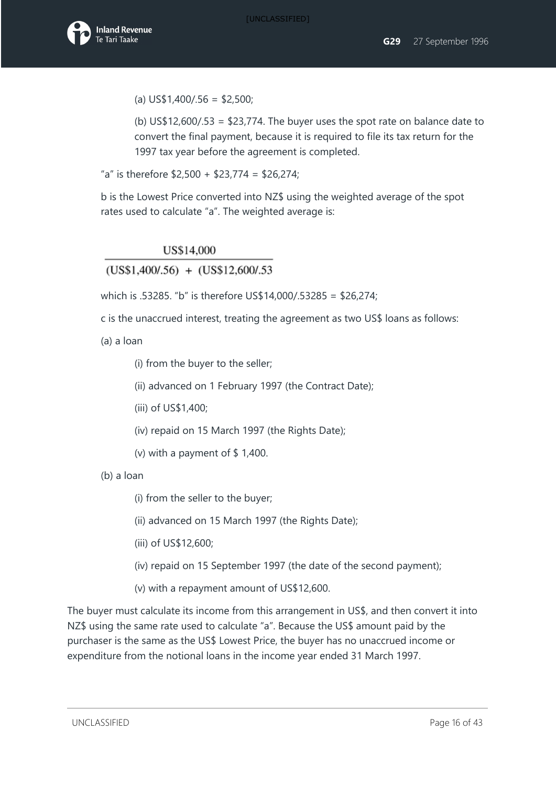$(a)$  US\$1,400/.56 = \$2,500;

(b)  $US$12,600/.53 = $23,774$ . The buyer uses the spot rate on balance date to convert the final payment, because it is required to file its tax return for the 1997 tax year before the agreement is completed.

"a" is therefore  $$2,500 + $23,774 = $26,274;$ 

b is the Lowest Price converted into NZ\$ using the weighted average of the spot rates used to calculate "a". The weighted average is:

#### US\$14,000

 $(US$1,400/.56) + (US$12,600/.53)$ 

which is .53285. "b" is therefore US\$14,000/.53285 = \$26,274;

c is the unaccrued interest, treating the agreement as two US\$ loans as follows:

(a) a loan

(i) from the buyer to the seller;

(ii) advanced on 1 February 1997 (the Contract Date);

(iii) of US\$1,400;

(iv) repaid on 15 March 1997 (the Rights Date);

(v) with a payment of  $$ 1,400$ .

(b) a loan

(i) from the seller to the buyer;

(ii) advanced on 15 March 1997 (the Rights Date);

(iii) of US\$12,600;

(iv) repaid on 15 September 1997 (the date of the second payment);

(v) with a repayment amount of US\$12,600.

The buyer must calculate its income from this arrangement in US\$, and then convert it into NZ\$ using the same rate used to calculate "a". Because the US\$ amount paid by the purchaser is the same as the US\$ Lowest Price, the buyer has no unaccrued income or expenditure from the notional loans in the income year ended 31 March 1997.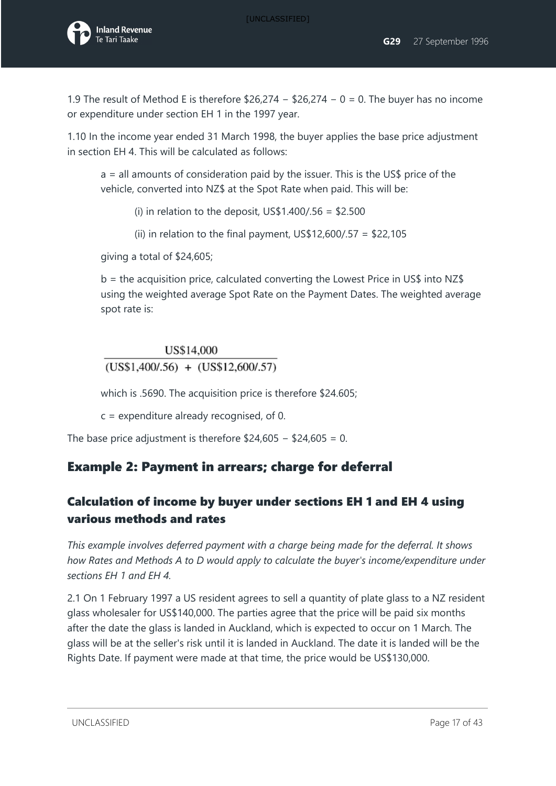1.9 The result of Method E is therefore \$26,274 − \$26,274 − 0 = 0. The buyer has no income or expenditure under section EH 1 in the 1997 year.

1.10 In the income year ended 31 March 1998, the buyer applies the base price adjustment in section EH 4. This will be calculated as follows:

a = all amounts of consideration paid by the issuer. This is the US\$ price of the vehicle, converted into NZ\$ at the Spot Rate when paid. This will be:

(i) in relation to the deposit,  $US$1,400/.56 = $2.500$ 

(ii) in relation to the final payment,  $US$12,600/.57 = $22,105$ 

giving a total of \$24,605;

 $b =$  the acquisition price, calculated converting the Lowest Price in US\$ into NZ\$ using the weighted average Spot Rate on the Payment Dates. The weighted average spot rate is:

### US\$14,000  $(US$1,400/.56) + (US$12,600/.57)$

which is .5690. The acquisition price is therefore \$24.605;

c = expenditure already recognised, of 0.

The base price adjustment is therefore \$24,605 − \$24,605 = 0.

## Example 2: Payment in arrears; charge for deferral

## Calculation of income by buyer under sections EH 1 and EH 4 using various methods and rates

*This example involves deferred payment with a charge being made for the deferral. It shows how Rates and Methods A to D would apply to calculate the buyer's income/expenditure under sections EH 1 and EH 4.* 

2.1 On 1 February 1997 a US resident agrees to sell a quantity of plate glass to a NZ resident glass wholesaler for US\$140,000. The parties agree that the price will be paid six months after the date the glass is landed in Auckland, which is expected to occur on 1 March. The glass will be at the seller's risk until it is landed in Auckland. The date it is landed will be the Rights Date. If payment were made at that time, the price would be US\$130,000.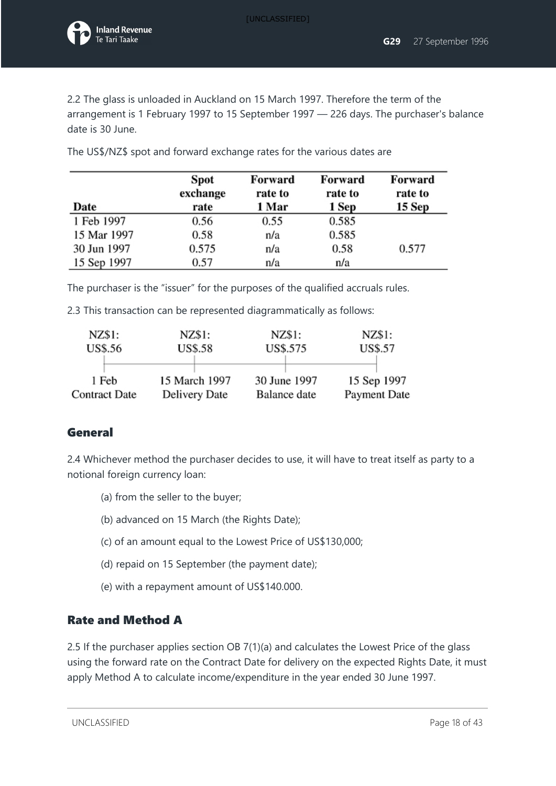

2.2 The glass is unloaded in Auckland on 15 March 1997. Therefore the term of the arrangement is 1 February 1997 to 15 September 1997 — 226 days. The purchaser's balance date is 30 June.

| Date        | Spot<br>exchange<br>rate | Forward<br>rate to<br>1 Mar | Forward<br>rate to<br>1 Sep | Forward<br>rate to<br>15 Sep |
|-------------|--------------------------|-----------------------------|-----------------------------|------------------------------|
| 1 Feb 1997  | 0.56                     | 0.55                        | 0.585                       |                              |
| 15 Mar 1997 | 0.58                     | n/a                         | 0.585                       |                              |
| 30 Jun 1997 | 0.575                    | n/a                         | 0.58                        | 0.577                        |
| 15 Sep 1997 | 0.57                     | n/a                         | n/a                         |                              |

The US\$/NZ\$ spot and forward exchange rates for the various dates are

The purchaser is the "issuer" for the purposes of the qualified accruals rules.

2.3 This transaction can be represented diagrammatically as follows:

| NZ\$1:               | NZ\$1:         | NZ\$1:       | NZ\$1:       |
|----------------------|----------------|--------------|--------------|
| US\$.56              | <b>US\$.58</b> | US\$.575     | US\$.57      |
| 1 Feb                | 15 March 1997  | 30 June 1997 | 15 Sep 1997  |
| <b>Contract Date</b> | Delivery Date  | Balance date | Payment Date |

### General

2.4 Whichever method the purchaser decides to use, it will have to treat itself as party to a notional foreign currency loan:

- (a) from the seller to the buyer;
- (b) advanced on 15 March (the Rights Date);
- (c) of an amount equal to the Lowest Price of US\$130,000;
- (d) repaid on 15 September (the payment date);
- (e) with a repayment amount of US\$140.000.

#### Rate and Method A

2.5 If the purchaser applies section OB 7(1)(a) and calculates the Lowest Price of the glass using the forward rate on the Contract Date for delivery on the expected Rights Date, it must apply Method A to calculate income/expenditure in the year ended 30 June 1997.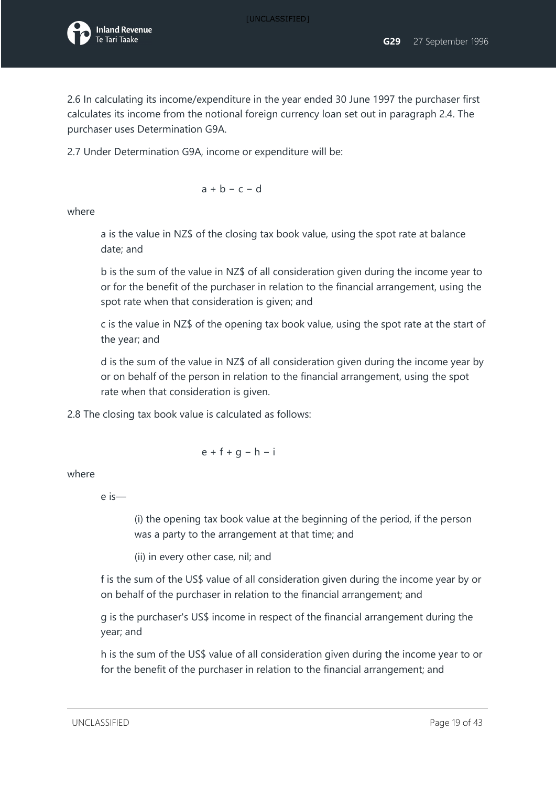

2.6 In calculating its income/expenditure in the year ended 30 June 1997 the purchaser first calculates its income from the notional foreign currency loan set out in paragraph 2.4. The purchaser uses Determination G9A.

2.7 Under Determination G9A, income or expenditure will be:

$$
a + b - c - d
$$

where

a is the value in NZ\$ of the closing tax book value, using the spot rate at balance date; and

b is the sum of the value in NZ\$ of all consideration given during the income year to or for the benefit of the purchaser in relation to the financial arrangement, using the spot rate when that consideration is given; and

c is the value in NZ\$ of the opening tax book value, using the spot rate at the start of the year; and

d is the sum of the value in NZ\$ of all consideration given during the income year by or on behalf of the person in relation to the financial arrangement, using the spot rate when that consideration is given.

2.8 The closing tax book value is calculated as follows:

$$
e + f + g - h - i
$$

where

e is—

(i) the opening tax book value at the beginning of the period, if the person was a party to the arrangement at that time; and

(ii) in every other case, nil; and

f is the sum of the US\$ value of all consideration given during the income year by or on behalf of the purchaser in relation to the financial arrangement; and

g is the purchaser's US\$ income in respect of the financial arrangement during the year; and

h is the sum of the US\$ value of all consideration given during the income year to or for the benefit of the purchaser in relation to the financial arrangement; and

UNCLASSIFIED Page 19 of 43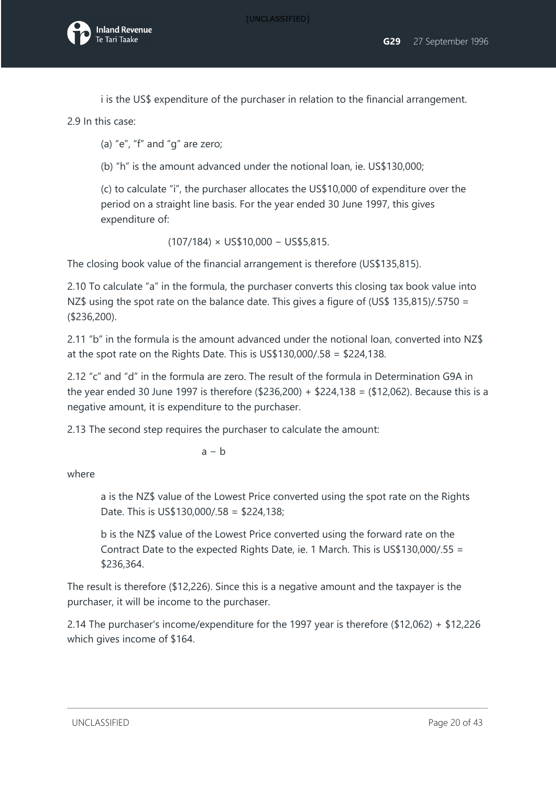i is the US\$ expenditure of the purchaser in relation to the financial arrangement.

2.9 In this case:

(a) "e", "f" and " $q$ " are zero;

(b) "h" is the amount advanced under the notional loan, ie. US\$130,000;

(c) to calculate "i", the purchaser allocates the US\$10,000 of expenditure over the period on a straight line basis. For the year ended 30 June 1997, this gives expenditure of:

(107/184) × US\$10,000 − US\$5,815.

The closing book value of the financial arrangement is therefore (US\$135,815).

2.10 To calculate "a" in the formula, the purchaser converts this closing tax book value into NZ\$ using the spot rate on the balance date. This gives a figure of (US\$ 135,815)/.5750 = (\$236,200).

2.11 "b" in the formula is the amount advanced under the notional loan, converted into NZ\$ at the spot rate on the Rights Date. This is US\$130,000/.58 = \$224,138.

2.12 "c" and "d" in the formula are zero. The result of the formula in Determination G9A in the year ended 30 June 1997 is therefore (\$236,200) + \$224,138 = (\$12,062). Because this is a negative amount, it is expenditure to the purchaser.

2.13 The second step requires the purchaser to calculate the amount:

 $a - b$ 

where

a is the NZ\$ value of the Lowest Price converted using the spot rate on the Rights Date. This is US\$130,000/.58 = \$224,138;

b is the NZ\$ value of the Lowest Price converted using the forward rate on the Contract Date to the expected Rights Date, ie. 1 March. This is US\$130,000/.55 = \$236,364.

The result is therefore (\$12,226). Since this is a negative amount and the taxpayer is the purchaser, it will be income to the purchaser.

2.14 The purchaser's income/expenditure for the 1997 year is therefore (\$12,062) + \$12,226 which gives income of \$164.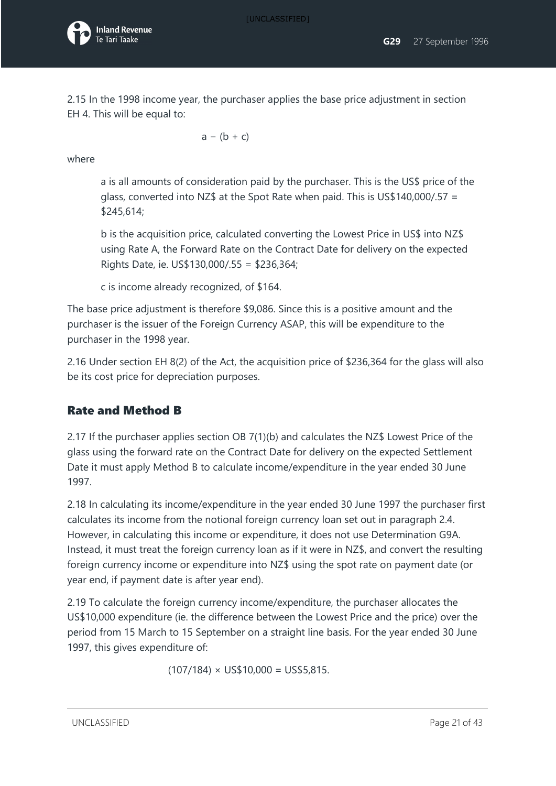2.15 In the 1998 income year, the purchaser applies the base price adjustment in section EH 4. This will be equal to:

$$
a - (b + c)
$$

where

a is all amounts of consideration paid by the purchaser. This is the US\$ price of the glass, converted into NZ\$ at the Spot Rate when paid. This is US\$140,000/.57 = \$245,614;

b is the acquisition price, calculated converting the Lowest Price in US\$ into NZ\$ using Rate A, the Forward Rate on the Contract Date for delivery on the expected Rights Date, ie. US\$130,000/.55 = \$236,364;

c is income already recognized, of \$164.

The base price adjustment is therefore \$9,086. Since this is a positive amount and the purchaser is the issuer of the Foreign Currency ASAP, this will be expenditure to the purchaser in the 1998 year.

2.16 Under section EH 8(2) of the Act, the acquisition price of \$236,364 for the glass will also be its cost price for depreciation purposes.

### Rate and Method B

2.17 If the purchaser applies section OB 7(1)(b) and calculates the NZ\$ Lowest Price of the glass using the forward rate on the Contract Date for delivery on the expected Settlement Date it must apply Method B to calculate income/expenditure in the year ended 30 June 1997.

2.18 In calculating its income/expenditure in the year ended 30 June 1997 the purchaser first calculates its income from the notional foreign currency loan set out in paragraph 2.4. However, in calculating this income or expenditure, it does not use Determination G9A. Instead, it must treat the foreign currency loan as if it were in NZ\$, and convert the resulting foreign currency income or expenditure into NZ\$ using the spot rate on payment date (or year end, if payment date is after year end).

2.19 To calculate the foreign currency income/expenditure, the purchaser allocates the US\$10,000 expenditure (ie. the difference between the Lowest Price and the price) over the period from 15 March to 15 September on a straight line basis. For the year ended 30 June 1997, this gives expenditure of:

 $(107/184) \times \text{US}$ \$10,000 = US\$5,815.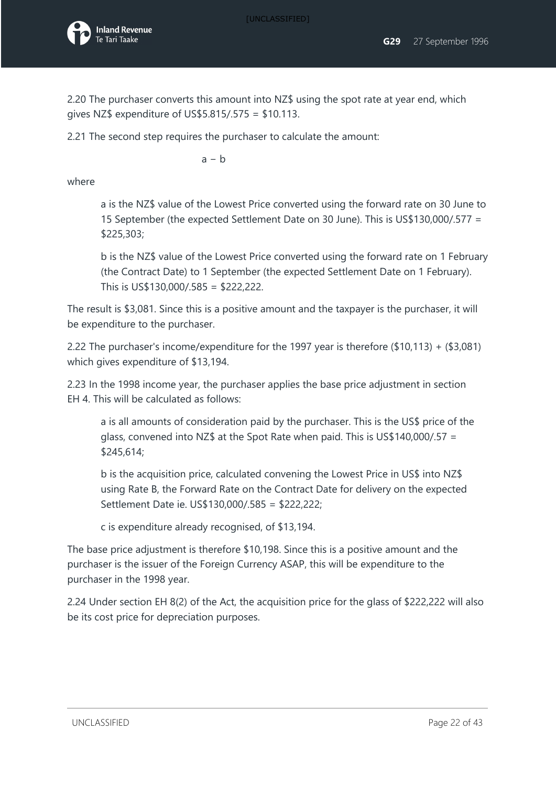

2.20 The purchaser converts this amount into NZ\$ using the spot rate at year end, which gives NZ\$ expenditure of US\$5.815/.575 = \$10.113.

2.21 The second step requires the purchaser to calculate the amount:

 $a - b$ 

where

a is the NZ\$ value of the Lowest Price converted using the forward rate on 30 June to 15 September (the expected Settlement Date on 30 June). This is US\$130,000/.577 = \$225,303;

b is the NZ\$ value of the Lowest Price converted using the forward rate on 1 February (the Contract Date) to 1 September (the expected Settlement Date on 1 February). This is US\$130,000/.585 = \$222,222.

The result is \$3,081. Since this is a positive amount and the taxpayer is the purchaser, it will be expenditure to the purchaser.

2.22 The purchaser's income/expenditure for the 1997 year is therefore (\$10,113) + (\$3,081) which gives expenditure of \$13,194.

2.23 In the 1998 income year, the purchaser applies the base price adjustment in section EH 4. This will be calculated as follows:

a is all amounts of consideration paid by the purchaser. This is the US\$ price of the glass, convened into NZ\$ at the Spot Rate when paid. This is US\$140,000/.57 = \$245,614;

b is the acquisition price, calculated convening the Lowest Price in US\$ into NZ\$ using Rate B, the Forward Rate on the Contract Date for delivery on the expected Settlement Date ie. US\$130,000/.585 = \$222,222;

c is expenditure already recognised, of \$13,194.

The base price adjustment is therefore \$10,198. Since this is a positive amount and the purchaser is the issuer of the Foreign Currency ASAP, this will be expenditure to the purchaser in the 1998 year.

2.24 Under section EH 8(2) of the Act, the acquisition price for the glass of \$222,222 will also be its cost price for depreciation purposes.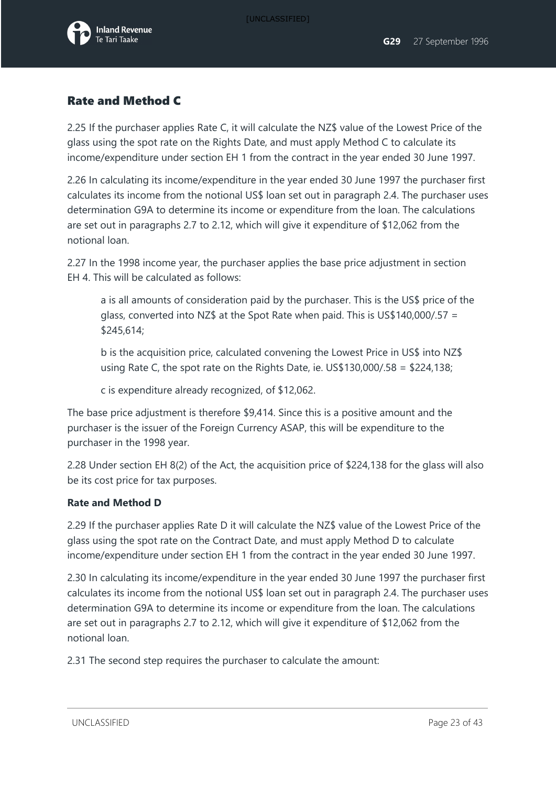

#### Rate and Method C

2.25 If the purchaser applies Rate C, it will calculate the NZ\$ value of the Lowest Price of the glass using the spot rate on the Rights Date, and must apply Method C to calculate its income/expenditure under section EH 1 from the contract in the year ended 30 June 1997.

2.26 In calculating its income/expenditure in the year ended 30 June 1997 the purchaser first calculates its income from the notional US\$ loan set out in paragraph 2.4. The purchaser uses determination G9A to determine its income or expenditure from the loan. The calculations are set out in paragraphs 2.7 to 2.12, which will give it expenditure of \$12,062 from the notional loan.

2.27 In the 1998 income year, the purchaser applies the base price adjustment in section EH 4. This will be calculated as follows:

a is all amounts of consideration paid by the purchaser. This is the US\$ price of the glass, converted into NZ\$ at the Spot Rate when paid. This is US\$140,000/.57 = \$245,614;

b is the acquisition price, calculated convening the Lowest Price in US\$ into NZ\$ using Rate C, the spot rate on the Rights Date, ie. US\$130,000/.58 = \$224,138;

c is expenditure already recognized, of \$12,062.

The base price adjustment is therefore \$9,414. Since this is a positive amount and the purchaser is the issuer of the Foreign Currency ASAP, this will be expenditure to the purchaser in the 1998 year.

2.28 Under section EH 8(2) of the Act, the acquisition price of \$224,138 for the glass will also be its cost price for tax purposes.

#### **Rate and Method D**

2.29 If the purchaser applies Rate D it will calculate the NZ\$ value of the Lowest Price of the glass using the spot rate on the Contract Date, and must apply Method D to calculate income/expenditure under section EH 1 from the contract in the year ended 30 June 1997.

2.30 In calculating its income/expenditure in the year ended 30 June 1997 the purchaser first calculates its income from the notional US\$ loan set out in paragraph 2.4. The purchaser uses determination G9A to determine its income or expenditure from the loan. The calculations are set out in paragraphs 2.7 to 2.12, which will give it expenditure of \$12,062 from the notional loan.

2.31 The second step requires the purchaser to calculate the amount: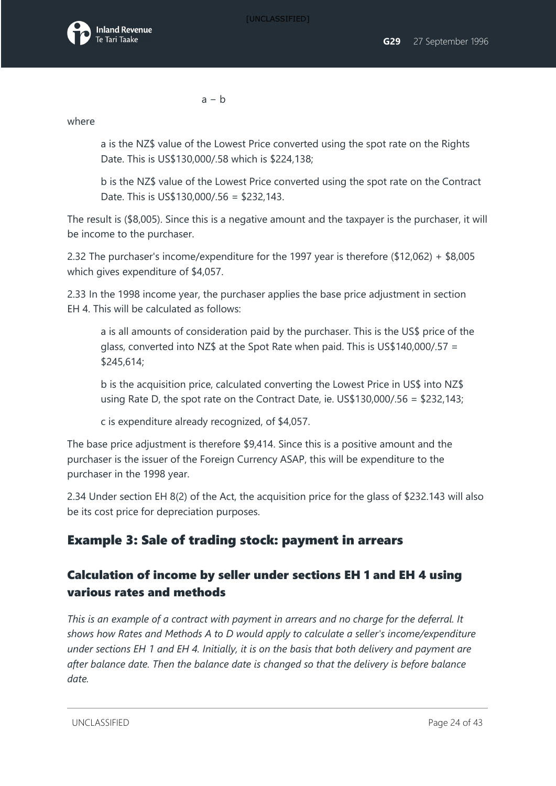

a − b

where

a is the NZ\$ value of the Lowest Price converted using the spot rate on the Rights Date. This is US\$130,000/.58 which is \$224,138;

b is the NZ\$ value of the Lowest Price converted using the spot rate on the Contract Date. This is US\$130,000/.56 = \$232,143.

The result is (\$8,005). Since this is a negative amount and the taxpayer is the purchaser, it will be income to the purchaser.

2.32 The purchaser's income/expenditure for the 1997 year is therefore (\$12,062) + \$8,005 which gives expenditure of \$4,057.

2.33 In the 1998 income year, the purchaser applies the base price adjustment in section EH 4. This will be calculated as follows:

a is all amounts of consideration paid by the purchaser. This is the US\$ price of the glass, converted into NZ\$ at the Spot Rate when paid. This is US\$140,000/.57 = \$245,614;

b is the acquisition price, calculated converting the Lowest Price in US\$ into NZ\$ using Rate D, the spot rate on the Contract Date, ie. US\$130,000/.56 = \$232,143;

c is expenditure already recognized, of \$4,057.

The base price adjustment is therefore \$9,414. Since this is a positive amount and the purchaser is the issuer of the Foreign Currency ASAP, this will be expenditure to the purchaser in the 1998 year.

2.34 Under section EH 8(2) of the Act, the acquisition price for the glass of \$232.143 will also be its cost price for depreciation purposes.

## Example 3: Sale of trading stock: payment in arrears

### Calculation of income by seller under sections EH 1 and EH 4 using various rates and methods

*This is an example of a contract with payment in arrears and no charge for the deferral. It shows how Rates and Methods A to D would apply to calculate a seller's income/expenditure under sections EH 1 and EH 4. Initially, it is on the basis that both delivery and payment are after balance date. Then the balance date is changed so that the delivery is before balance date.*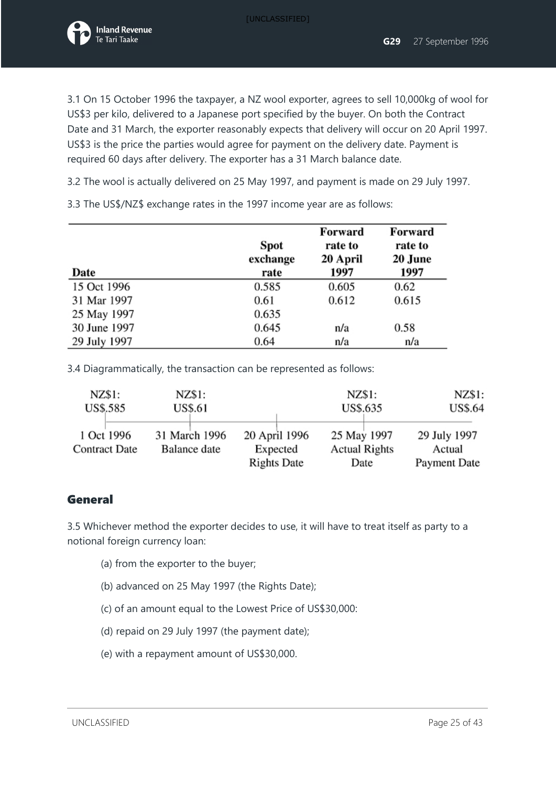

3.1 On 15 October 1996 the taxpayer, a NZ wool exporter, agrees to sell 10,000kg of wool for US\$3 per kilo, delivered to a Japanese port specified by the buyer. On both the Contract Date and 31 March, the exporter reasonably expects that delivery will occur on 20 April 1997. US\$3 is the price the parties would agree for payment on the delivery date. Payment is required 60 days after delivery. The exporter has a 31 March balance date.

3.2 The wool is actually delivered on 25 May 1997, and payment is made on 29 July 1997.

3.3 The US\$/NZ\$ exchange rates in the 1997 income year are as follows:

| Date         | <b>Spot</b><br>exchange<br>rate | Forward<br>rate to<br>20 April<br>1997 | Forward<br>rate to<br>20 June<br>1997 |
|--------------|---------------------------------|----------------------------------------|---------------------------------------|
| 15 Oct 1996  | 0.585                           | 0.605                                  | 0.62                                  |
| 31 Mar 1997  | 0.61                            | 0.612                                  | 0.615                                 |
| 25 May 1997  | 0.635                           |                                        |                                       |
| 30 June 1997 | 0.645                           | n/a                                    | 0.58                                  |
| 29 July 1997 | 0.64                            | n/a                                    | n/a                                   |

3.4 Diagrammatically, the transaction can be represented as follows:

| NZ\$1:                             | NZ\$1:                        |                                                 | NZ\$1:                                      | NZ\$1:                                 |
|------------------------------------|-------------------------------|-------------------------------------------------|---------------------------------------------|----------------------------------------|
| US\$.585                           | US\$.61                       |                                                 | US\$.635                                    | US\$.64                                |
| 1 Oct 1996<br><b>Contract Date</b> | 31 March 1996<br>Balance date | 20 April 1996<br>Expected<br><b>Rights Date</b> | 25 May 1997<br><b>Actual Rights</b><br>Date | 29 July 1997<br>Actual<br>Payment Date |

#### General

3.5 Whichever method the exporter decides to use, it will have to treat itself as party to a notional foreign currency loan:

- (a) from the exporter to the buyer;
- (b) advanced on 25 May 1997 (the Rights Date);
- (c) of an amount equal to the Lowest Price of US\$30,000:
- (d) repaid on 29 July 1997 (the payment date);
- (e) with a repayment amount of US\$30,000.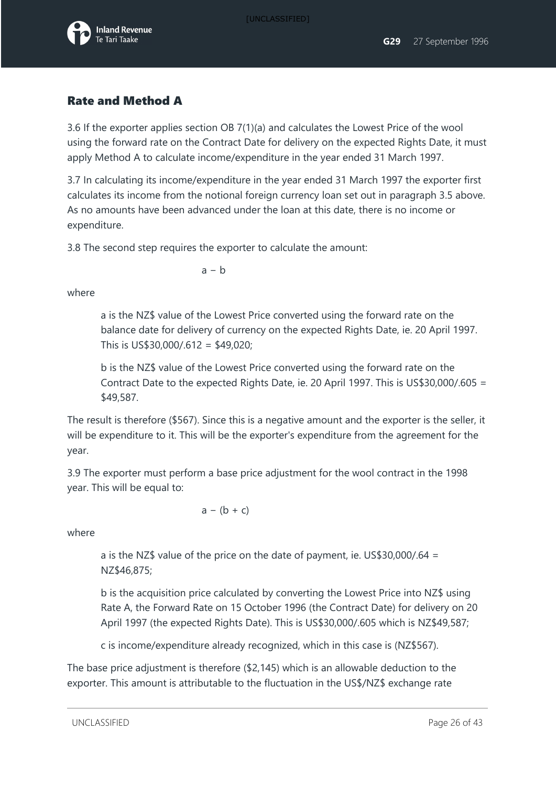

### Rate and Method A

3.6 If the exporter applies section OB 7(1)(a) and calculates the Lowest Price of the wool using the forward rate on the Contract Date for delivery on the expected Rights Date, it must apply Method A to calculate income/expenditure in the year ended 31 March 1997.

3.7 In calculating its income/expenditure in the year ended 31 March 1997 the exporter first calculates its income from the notional foreign currency loan set out in paragraph 3.5 above. As no amounts have been advanced under the loan at this date, there is no income or expenditure.

3.8 The second step requires the exporter to calculate the amount:

 $a - b$ 

where

a is the NZ\$ value of the Lowest Price converted using the forward rate on the balance date for delivery of currency on the expected Rights Date, ie. 20 April 1997. This is US\$30,000/.612 = \$49,020;

b is the NZ\$ value of the Lowest Price converted using the forward rate on the Contract Date to the expected Rights Date, ie. 20 April 1997. This is US\$30,000/.605 = \$49,587.

The result is therefore (\$567). Since this is a negative amount and the exporter is the seller, it will be expenditure to it. This will be the exporter's expenditure from the agreement for the year.

3.9 The exporter must perform a base price adjustment for the wool contract in the 1998 year. This will be equal to:

$$
a - (b + c)
$$

where

a is the NZ\$ value of the price on the date of payment, ie. US\$30,000/.64 = NZ\$46,875;

b is the acquisition price calculated by converting the Lowest Price into NZ\$ using Rate A, the Forward Rate on 15 October 1996 (the Contract Date) for delivery on 20 April 1997 (the expected Rights Date). This is US\$30,000/.605 which is NZ\$49,587;

c is income/expenditure already recognized, which in this case is (NZ\$567).

The base price adjustment is therefore (\$2,145) which is an allowable deduction to the exporter. This amount is attributable to the fluctuation in the US\$/NZ\$ exchange rate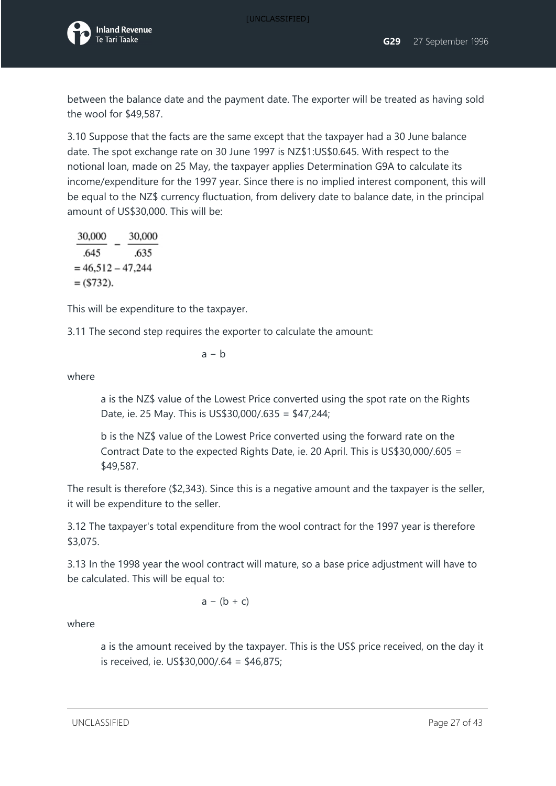

between the balance date and the payment date. The exporter will be treated as having sold the wool for \$49,587.

3.10 Suppose that the facts are the same except that the taxpayer had a 30 June balance date. The spot exchange rate on 30 June 1997 is NZ\$1:US\$0.645. With respect to the notional loan, made on 25 May, the taxpayer applies Determination G9A to calculate its income/expenditure for the 1997 year. Since there is no implied interest component, this will be equal to the NZ\$ currency fluctuation, from delivery date to balance date, in the principal amount of US\$30,000. This will be:

30,000 30,000 645 .635  $= 46,512 - 47,244$  $=$  (\$732).

This will be expenditure to the taxpayer.

3.11 The second step requires the exporter to calculate the amount:

$$
a - b
$$

where

a is the NZ\$ value of the Lowest Price converted using the spot rate on the Rights Date, ie. 25 May. This is US\$30,000/.635 = \$47,244;

b is the NZ\$ value of the Lowest Price converted using the forward rate on the Contract Date to the expected Rights Date, ie. 20 April. This is US\$30,000/.605 = \$49,587.

The result is therefore (\$2,343). Since this is a negative amount and the taxpayer is the seller, it will be expenditure to the seller.

3.12 The taxpayer's total expenditure from the wool contract for the 1997 year is therefore \$3,075.

3.13 In the 1998 year the wool contract will mature, so a base price adjustment will have to be calculated. This will be equal to:

$$
a - (b + c)
$$

where

a is the amount received by the taxpayer. This is the US\$ price received, on the day it is received, ie. US\$30,000/.64 = \$46,875;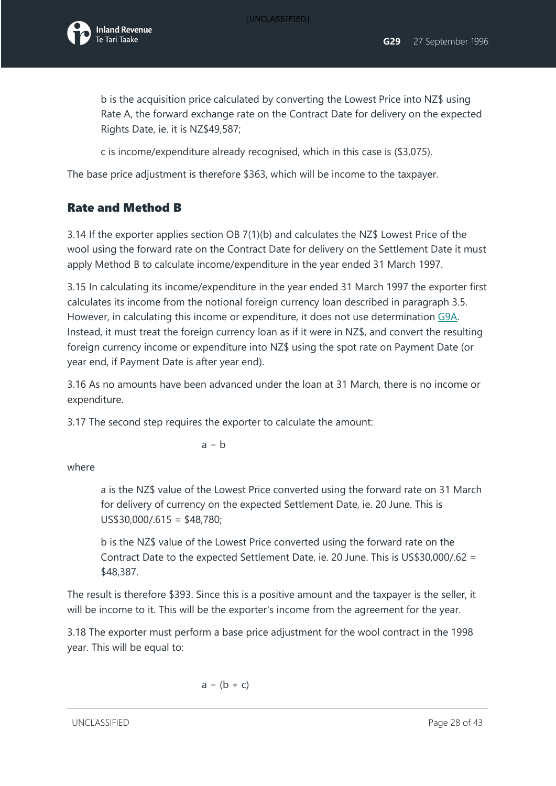

b is the acquisition price calculated by converting the Lowest Price into NZ\$ using Rate A, the forward exchange rate on the Contract Date for delivery on the expected Rights Date, ie. it is NZ\$49,587;

c is income/expenditure already recognised, which in this case is (\$3,075).

The base price adjustment is therefore \$363, which will be income to the taxpayer.

#### Rate and Method B

3.14 If the exporter applies section OB 7(1)(b) and calculates the NZ\$ Lowest Price of the wool using the forward rate on the Contract Date for delivery on the Settlement Date it must apply Method B to calculate income/expenditure in the year ended 31 March 1997.

3.15 In calculating its income/expenditure in the year ended 31 March 1997 the exporter first calculates its income from the notional foreign currency loan described in paragraph 3.5. However, in calculating this income or expenditure, it does not use determination [G9A.](javascript:void(0)) Instead, it must treat the foreign currency loan as if it were in NZ\$, and convert the resulting foreign currency income or expenditure into NZ\$ using the spot rate on Payment Date (or year end, if Payment Date is after year end).

3.16 As no amounts have been advanced under the loan at 31 March, there is no income or expenditure.

3.17 The second step requires the exporter to calculate the amount:

$$
a-b
$$

where

a is the NZ\$ value of the Lowest Price converted using the forward rate on 31 March for delivery of currency on the expected Settlement Date, ie. 20 June. This is US\$30,000/.615 = \$48,780;

b is the NZ\$ value of the Lowest Price converted using the forward rate on the Contract Date to the expected Settlement Date, ie. 20 June. This is US\$30,000/.62 = \$48,387.

The result is therefore \$393. Since this is a positive amount and the taxpayer is the seller, it will be income to it. This will be the exporter's income from the agreement for the year.

3.18 The exporter must perform a base price adjustment for the wool contract in the 1998 year. This will be equal to:

$$
a - (b + c)
$$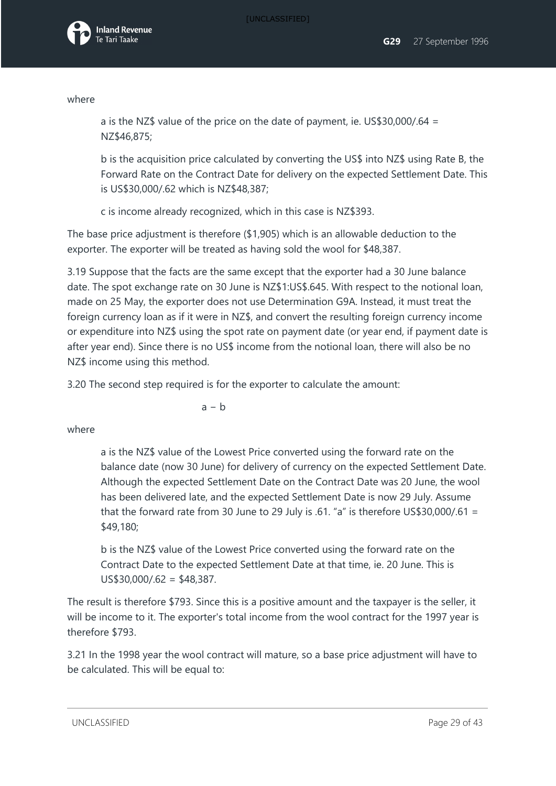

#### where

a is the NZ\$ value of the price on the date of payment, ie. US\$30,000/.64 = NZ\$46,875;

b is the acquisition price calculated by converting the US\$ into NZ\$ using Rate B, the Forward Rate on the Contract Date for delivery on the expected Settlement Date. This is US\$30,000/.62 which is NZ\$48,387;

c is income already recognized, which in this case is NZ\$393.

The base price adjustment is therefore (\$1,905) which is an allowable deduction to the exporter. The exporter will be treated as having sold the wool for \$48,387.

3.19 Suppose that the facts are the same except that the exporter had a 30 June balance date. The spot exchange rate on 30 June is NZ\$1:US\$.645. With respect to the notional loan, made on 25 May, the exporter does not use Determination G9A. Instead, it must treat the foreign currency loan as if it were in NZ\$, and convert the resulting foreign currency income or expenditure into NZ\$ using the spot rate on payment date (or year end, if payment date is after year end). Since there is no US\$ income from the notional loan, there will also be no NZ\$ income using this method.

3.20 The second step required is for the exporter to calculate the amount:

 $a - h$ 

#### where

a is the NZ\$ value of the Lowest Price converted using the forward rate on the balance date (now 30 June) for delivery of currency on the expected Settlement Date. Although the expected Settlement Date on the Contract Date was 20 June, the wool has been delivered late, and the expected Settlement Date is now 29 July. Assume that the forward rate from 30 June to 29 July is .61. "a" is therefore US\$30,000/.61 = \$49,180;

b is the NZ\$ value of the Lowest Price converted using the forward rate on the Contract Date to the expected Settlement Date at that time, ie. 20 June. This is  $US$30,000/.62 = $48,387.$ 

The result is therefore \$793. Since this is a positive amount and the taxpayer is the seller, it will be income to it. The exporter's total income from the wool contract for the 1997 year is therefore \$793.

3.21 In the 1998 year the wool contract will mature, so a base price adjustment will have to be calculated. This will be equal to:

UNCLASSIFIED **Page 29 of 43**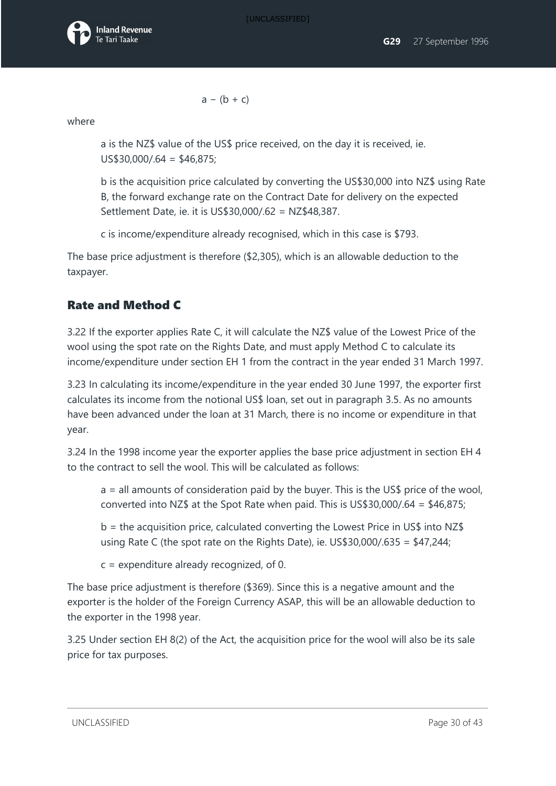$a - (b + c)$ 

where

a is the NZ\$ value of the US\$ price received, on the day it is received, ie. US\$30,000/.64 = \$46,875;

b is the acquisition price calculated by converting the US\$30,000 into NZ\$ using Rate B, the forward exchange rate on the Contract Date for delivery on the expected Settlement Date, ie. it is US\$30,000/.62 = NZ\$48,387.

c is income/expenditure already recognised, which in this case is \$793.

The base price adjustment is therefore (\$2,305), which is an allowable deduction to the taxpayer.

### Rate and Method C

3.22 If the exporter applies Rate C, it will calculate the NZ\$ value of the Lowest Price of the wool using the spot rate on the Rights Date, and must apply Method C to calculate its income/expenditure under section EH 1 from the contract in the year ended 31 March 1997.

3.23 In calculating its income/expenditure in the year ended 30 June 1997, the exporter first calculates its income from the notional US\$ loan, set out in paragraph 3.5. As no amounts have been advanced under the loan at 31 March, there is no income or expenditure in that year.

3.24 In the 1998 income year the exporter applies the base price adjustment in section EH 4 to the contract to sell the wool. This will be calculated as follows:

 $a =$  all amounts of consideration paid by the buyer. This is the US\$ price of the wool, converted into NZ\$ at the Spot Rate when paid. This is US\$30,000/.64 = \$46,875;

 $b =$  the acquisition price, calculated converting the Lowest Price in US\$ into NZ\$ using Rate C (the spot rate on the Rights Date), ie. US\$30,000/.635 = \$47,244;

c = expenditure already recognized, of 0.

The base price adjustment is therefore (\$369). Since this is a negative amount and the exporter is the holder of the Foreign Currency ASAP, this will be an allowable deduction to the exporter in the 1998 year.

3.25 Under section EH 8(2) of the Act, the acquisition price for the wool will also be its sale price for tax purposes.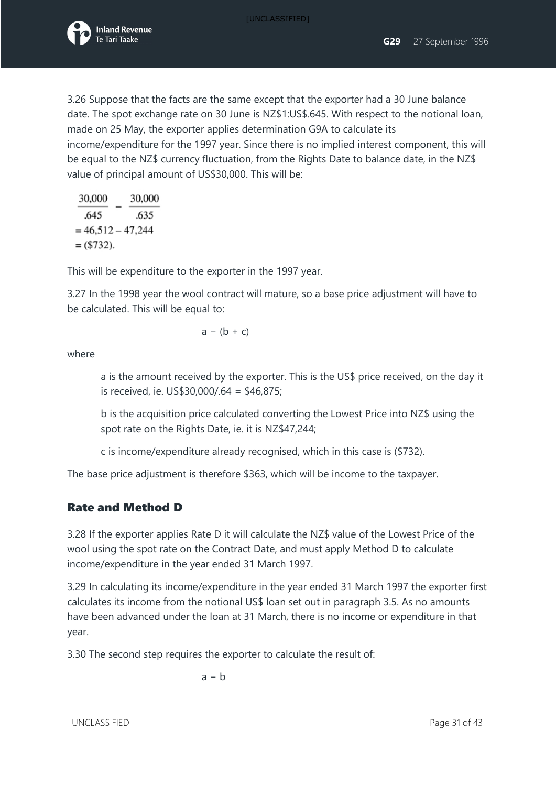

3.26 Suppose that the facts are the same except that the exporter had a 30 June balance date. The spot exchange rate on 30 June is NZ\$1:US\$.645. With respect to the notional loan, made on 25 May, the exporter applies determination G9A to calculate its income/expenditure for the 1997 year. Since there is no implied interest component, this will be equal to the NZ\$ currency fluctuation, from the Rights Date to balance date, in the NZ\$ value of principal amount of US\$30,000. This will be:

| 30,000              | 30,000 |
|---------------------|--------|
| .645                | .635   |
| $= 46,512 - 47,244$ |        |
| $= (5732).$         |        |

This will be expenditure to the exporter in the 1997 year.

3.27 In the 1998 year the wool contract will mature, so a base price adjustment will have to be calculated. This will be equal to:

$$
a - (b + c)
$$

where

a is the amount received by the exporter. This is the US\$ price received, on the day it is received, ie. US\$30,000/.64 = \$46,875;

b is the acquisition price calculated converting the Lowest Price into NZ\$ using the spot rate on the Rights Date, ie. it is NZ\$47,244;

c is income/expenditure already recognised, which in this case is (\$732).

The base price adjustment is therefore \$363, which will be income to the taxpayer.

### Rate and Method D

3.28 If the exporter applies Rate D it will calculate the NZ\$ value of the Lowest Price of the wool using the spot rate on the Contract Date, and must apply Method D to calculate income/expenditure in the year ended 31 March 1997.

3.29 In calculating its income/expenditure in the year ended 31 March 1997 the exporter first calculates its income from the notional US\$ loan set out in paragraph 3.5. As no amounts have been advanced under the loan at 31 March, there is no income or expenditure in that year.

3.30 The second step requires the exporter to calculate the result of:

$$
a - b
$$

UNCLASSIFIED **Page 31 of 43**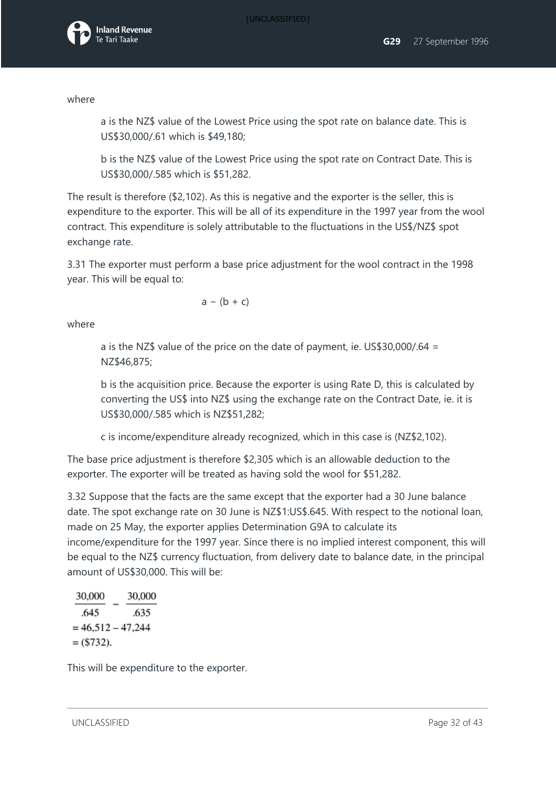

#### where

a is the NZ\$ value of the Lowest Price using the spot rate on balance date. This is US\$30,000/.61 which is \$49,180;

b is the NZ\$ value of the Lowest Price using the spot rate on Contract Date. This is US\$30,000/.585 which is \$51,282.

The result is therefore (\$2,102). As this is negative and the exporter is the seller, this is expenditure to the exporter. This will be all of its expenditure in the 1997 year from the wool contract. This expenditure is solely attributable to the fluctuations in the US\$/NZ\$ spot exchange rate.

3.31 The exporter must perform a base price adjustment for the wool contract in the 1998 year. This will be equal to:

 $a - (b + c)$ 

where

a is the NZ\$ value of the price on the date of payment, ie. US\$30,000/.64 = NZ\$46,875;

b is the acquisition price. Because the exporter is using Rate D, this is calculated by converting the US\$ into NZ\$ using the exchange rate on the Contract Date, ie. it is US\$30,000/.585 which is NZ\$51,282;

c is income/expenditure already recognized, which in this case is (NZ\$2,102).

The base price adjustment is therefore \$2,305 which is an allowable deduction to the exporter. The exporter will be treated as having sold the wool for \$51,282.

3.32 Suppose that the facts are the same except that the exporter had a 30 June balance date. The spot exchange rate on 30 June is NZ\$1:US\$.645. With respect to the notional loan, made on 25 May, the exporter applies Determination G9A to calculate its income/expenditure for the 1997 year. Since there is no implied interest component, this will be equal to the NZ\$ currency fluctuation, from delivery date to balance date, in the principal amount of US\$30,000. This will be:

30,000 30,000 .645 .635  $= 46,512 - 47,244$  $=$  (\$732).

This will be expenditure to the exporter.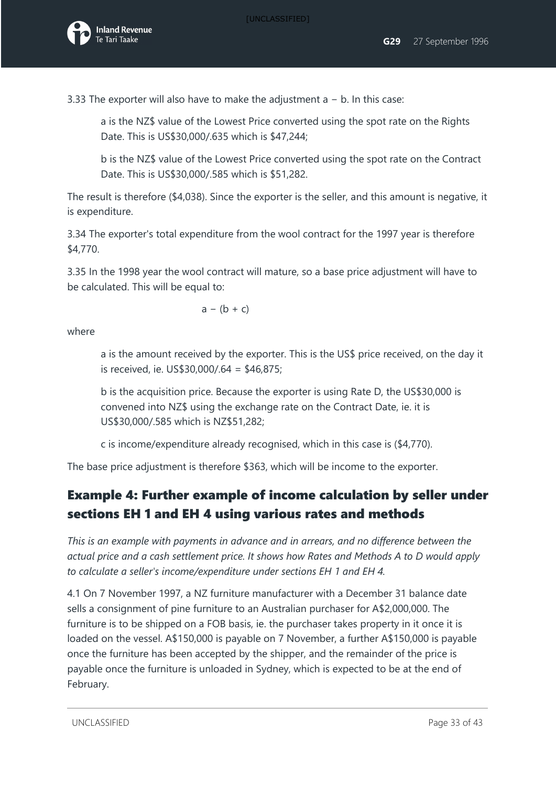3.33 The exporter will also have to make the adjustment a − b. In this case:

a is the NZ\$ value of the Lowest Price converted using the spot rate on the Rights Date. This is US\$30,000/.635 which is \$47,244;

b is the NZ\$ value of the Lowest Price converted using the spot rate on the Contract Date. This is US\$30,000/.585 which is \$51,282.

The result is therefore (\$4,038). Since the exporter is the seller, and this amount is negative, it is expenditure.

3.34 The exporter's total expenditure from the wool contract for the 1997 year is therefore \$4,770.

3.35 In the 1998 year the wool contract will mature, so a base price adjustment will have to be calculated. This will be equal to:

 $a - (b + c)$ 

where

a is the amount received by the exporter. This is the US\$ price received, on the day it is received, ie. US\$30,000/.64 = \$46,875;

b is the acquisition price. Because the exporter is using Rate D, the US\$30,000 is convened into NZ\$ using the exchange rate on the Contract Date, ie. it is US\$30,000/.585 which is NZ\$51,282;

c is income/expenditure already recognised, which in this case is (\$4,770).

The base price adjustment is therefore \$363, which will be income to the exporter.

## Example 4: Further example of income calculation by seller under sections EH 1 and EH 4 using various rates and methods

*This is an example with payments in advance and in arrears, and no difference between the actual price and a cash settlement price. It shows how Rates and Methods A to D would apply to calculate a seller's income/expenditure under sections EH 1 and EH 4.* 

4.1 On 7 November 1997, a NZ furniture manufacturer with a December 31 balance date sells a consignment of pine furniture to an Australian purchaser for A\$2,000,000. The furniture is to be shipped on a FOB basis, ie. the purchaser takes property in it once it is loaded on the vessel. A\$150,000 is payable on 7 November, a further A\$150,000 is payable once the furniture has been accepted by the shipper, and the remainder of the price is payable once the furniture is unloaded in Sydney, which is expected to be at the end of February.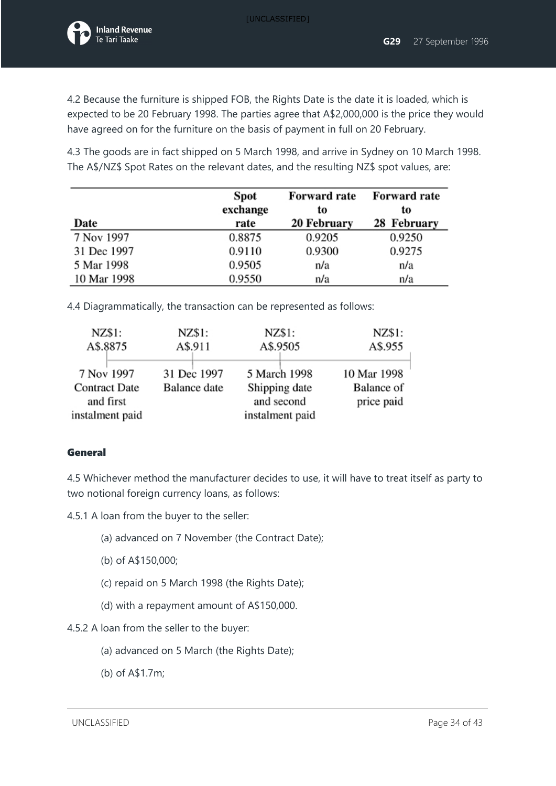4.2 Because the furniture is shipped FOB, the Rights Date is the date it is loaded, which is expected to be 20 February 1998. The parties agree that A\$2,000,000 is the price they would have agreed on for the furniture on the basis of payment in full on 20 February.

4.3 The goods are in fact shipped on 5 March 1998, and arrive in Sydney on 10 March 1998. The A\$/NZ\$ Spot Rates on the relevant dates, and the resulting NZ\$ spot values, are:

|             | Spot     | <b>Forward rate</b> | <b>Forward rate</b> |
|-------------|----------|---------------------|---------------------|
|             | exchange | to                  | to                  |
| Date        | rate     | 20 February         | 28 February         |
| 7 Nov 1997  | 0.8875   | 0.9205              | 0.9250              |
| 31 Dec 1997 | 0.9110   | 0.9300              | 0.9275              |
| 5 Mar 1998  | 0.9505   | n/a                 | n/a                 |
| 10 Mar 1998 | 0.9550   | n/a                 | n/a                 |

4.4 Diagrammatically, the transaction can be represented as follows:

| NZ\$1:               | NZ\$1:       | NZ\$1:          | NZ\$1:      |
|----------------------|--------------|-----------------|-------------|
| A\$.8875             | A\$.911      | A\$.9505        | A\$.955     |
| 7 Nov 1997           | 31 Dec 1997  | 5 March 1998    | 10 Mar 1998 |
| <b>Contract Date</b> | Balance date | Shipping date   | Balance of  |
| and first            |              | and second      | price paid  |
| instalment paid      |              | instalment paid |             |

#### **General**

4.5 Whichever method the manufacturer decides to use, it will have to treat itself as party to two notional foreign currency loans, as follows:

4.5.1 A loan from the buyer to the seller:

- (a) advanced on 7 November (the Contract Date);
- (b) of A\$150,000;
- (c) repaid on 5 March 1998 (the Rights Date);
- (d) with a repayment amount of A\$150,000.
- 4.5.2 A loan from the seller to the buyer:
	- (a) advanced on 5 March (the Rights Date);
	- (b) of A\$1.7m;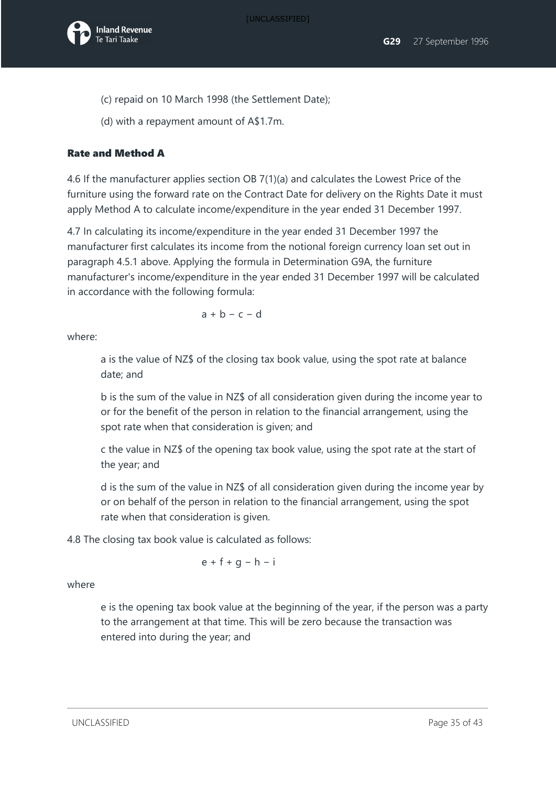

- (c) repaid on 10 March 1998 (the Settlement Date);
- (d) with a repayment amount of A\$1.7m.

#### Rate and Method A

4.6 If the manufacturer applies section OB 7(1)(a) and calculates the Lowest Price of the furniture using the forward rate on the Contract Date for delivery on the Rights Date it must apply Method A to calculate income/expenditure in the year ended 31 December 1997.

4.7 In calculating its income/expenditure in the year ended 31 December 1997 the manufacturer first calculates its income from the notional foreign currency loan set out in paragraph 4.5.1 above. Applying the formula in Determination G9A, the furniture manufacturer's income/expenditure in the year ended 31 December 1997 will be calculated in accordance with the following formula:

 $a + b - c - d$ 

where:

a is the value of NZ\$ of the closing tax book value, using the spot rate at balance date; and

b is the sum of the value in NZ\$ of all consideration given during the income year to or for the benefit of the person in relation to the financial arrangement, using the spot rate when that consideration is given; and

c the value in NZ\$ of the opening tax book value, using the spot rate at the start of the year; and

d is the sum of the value in NZ\$ of all consideration given during the income year by or on behalf of the person in relation to the financial arrangement, using the spot rate when that consideration is given.

4.8 The closing tax book value is calculated as follows:

$$
e + f + g - h - i
$$

where

e is the opening tax book value at the beginning of the year, if the person was a party to the arrangement at that time. This will be zero because the transaction was entered into during the year; and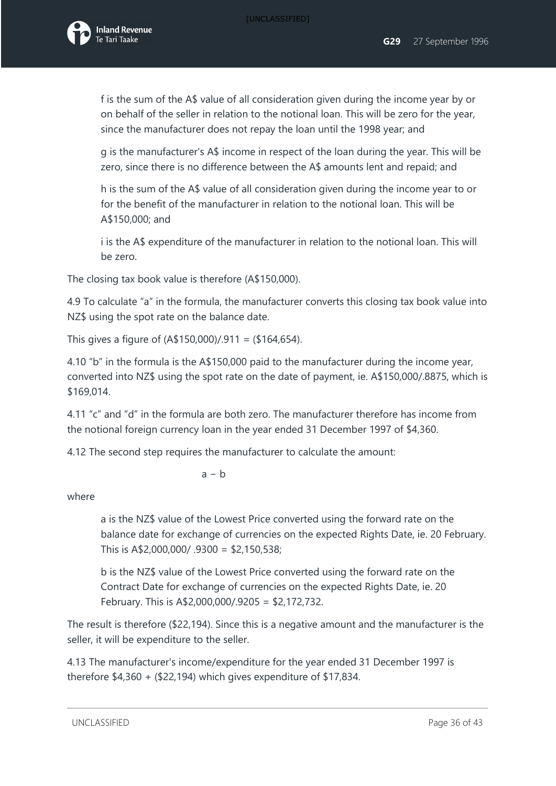

f is the sum of the A\$ value of all consideration given during the income year by or on behalf of the seller in relation to the notional loan. This will be zero for the year, since the manufacturer does not repay the loan until the 1998 year; and

g is the manufacturer's A\$ income in respect of the loan during the year. This will be zero, since there is no difference between the A\$ amounts lent and repaid; and

h is the sum of the A\$ value of all consideration given during the income year to or for the benefit of the manufacturer in relation to the notional loan. This will be A\$150,000; and

i is the A\$ expenditure of the manufacturer in relation to the notional loan. This will be zero.

The closing tax book value is therefore (A\$150,000).

4.9 To calculate "a" in the formula, the manufacturer converts this closing tax book value into NZ\$ using the spot rate on the balance date.

This gives a figure of  $(A$150,000)/.911 = ($164,654)$ .

4.10 "b" in the formula is the A\$150,000 paid to the manufacturer during the income year, converted into NZ\$ using the spot rate on the date of payment, ie. A\$150,000/.8875, which is \$169,014.

4.11 "c" and "d" in the formula are both zero. The manufacturer therefore has income from the notional foreign currency loan in the year ended 31 December 1997 of \$4,360.

4.12 The second step requires the manufacturer to calculate the amount:

a − b

where

a is the NZ\$ value of the Lowest Price converted using the forward rate on the balance date for exchange of currencies on the expected Rights Date, ie. 20 February. This is A\$2,000,000/ .9300 = \$2,150,538;

b is the NZ\$ value of the Lowest Price converted using the forward rate on the Contract Date for exchange of currencies on the expected Rights Date, ie. 20 February. This is A\$2,000,000/.9205 = \$2,172,732.

The result is therefore (\$22,194). Since this is a negative amount and the manufacturer is the seller, it will be expenditure to the seller.

4.13 The manufacturer's income/expenditure for the year ended 31 December 1997 is therefore \$4,360 + (\$22,194) which gives expenditure of \$17,834.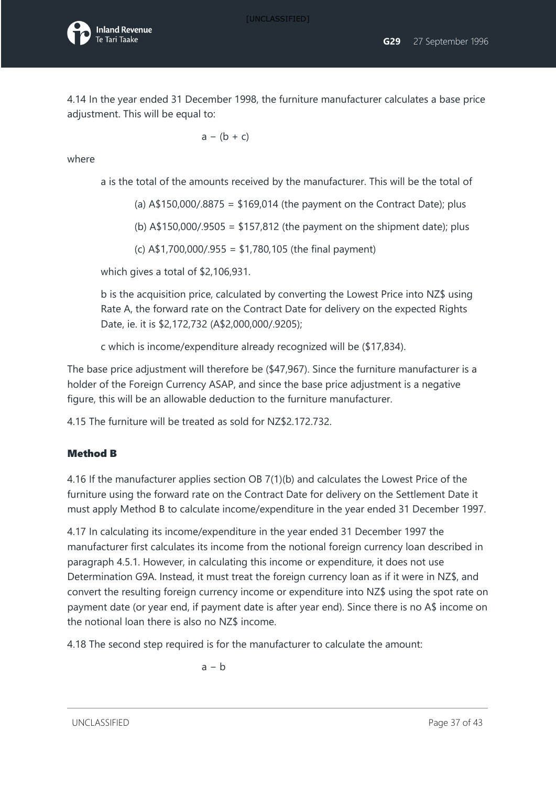4.14 In the year ended 31 December 1998, the furniture manufacturer calculates a base price adjustment. This will be equal to:

$$
a - (b + c)
$$

where

a is the total of the amounts received by the manufacturer. This will be the total of

(a)  $A\$ 150,000/.8875 =  $\frac{1}{2}169,014$  (the payment on the Contract Date); plus

(b)  $A$150,000/.9505 = $157,812$  (the payment on the shipment date); plus

(c) A\$1,700,000/.955 = \$1,780,105 (the final payment)

which gives a total of \$2,106,931.

b is the acquisition price, calculated by converting the Lowest Price into NZ\$ using Rate A, the forward rate on the Contract Date for delivery on the expected Rights Date, ie. it is \$2,172,732 (A\$2,000,000/.9205);

c which is income/expenditure already recognized will be (\$17,834).

The base price adjustment will therefore be (\$47,967). Since the furniture manufacturer is a holder of the Foreign Currency ASAP, and since the base price adjustment is a negative figure, this will be an allowable deduction to the furniture manufacturer.

4.15 The furniture will be treated as sold for NZ\$2.172.732.

#### Method B

4.16 If the manufacturer applies section OB 7(1)(b) and calculates the Lowest Price of the furniture using the forward rate on the Contract Date for delivery on the Settlement Date it must apply Method B to calculate income/expenditure in the year ended 31 December 1997.

4.17 In calculating its income/expenditure in the year ended 31 December 1997 the manufacturer first calculates its income from the notional foreign currency loan described in paragraph 4.5.1. However, in calculating this income or expenditure, it does not use Determination G9A. Instead, it must treat the foreign currency loan as if it were in NZ\$, and convert the resulting foreign currency income or expenditure into NZ\$ using the spot rate on payment date (or year end, if payment date is after year end). Since there is no A\$ income on the notional loan there is also no NZ\$ income.

4.18 The second step required is for the manufacturer to calculate the amount:

$$
a - b
$$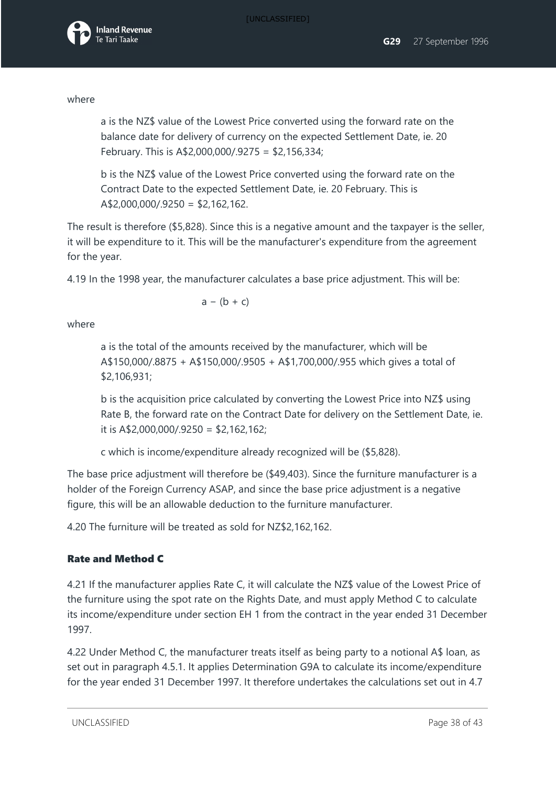#### where

a is the NZ\$ value of the Lowest Price converted using the forward rate on the balance date for delivery of currency on the expected Settlement Date, ie. 20 February. This is A\$2,000,000/.9275 = \$2,156,334;

b is the NZ\$ value of the Lowest Price converted using the forward rate on the Contract Date to the expected Settlement Date, ie. 20 February. This is A\$2,000,000/.9250 = \$2,162,162.

The result is therefore (\$5,828). Since this is a negative amount and the taxpayer is the seller, it will be expenditure to it. This will be the manufacturer's expenditure from the agreement for the year.

4.19 In the 1998 year, the manufacturer calculates a base price adjustment. This will be:

 $a - (b + c)$ 

where

a is the total of the amounts received by the manufacturer, which will be A\$150,000/.8875 + A\$150,000/.9505 + A\$1,700,000/.955 which gives a total of \$2,106,931;

b is the acquisition price calculated by converting the Lowest Price into NZ\$ using Rate B, the forward rate on the Contract Date for delivery on the Settlement Date, ie. it is  $A$2,000,000/.9250 = $2,162,162;$ 

c which is income/expenditure already recognized will be (\$5,828).

The base price adjustment will therefore be (\$49,403). Since the furniture manufacturer is a holder of the Foreign Currency ASAP, and since the base price adjustment is a negative figure, this will be an allowable deduction to the furniture manufacturer.

4.20 The furniture will be treated as sold for NZ\$2,162,162.

### Rate and Method C

4.21 If the manufacturer applies Rate C, it will calculate the NZ\$ value of the Lowest Price of the furniture using the spot rate on the Rights Date, and must apply Method C to calculate its income/expenditure under section EH 1 from the contract in the year ended 31 December 1997.

4.22 Under Method C, the manufacturer treats itself as being party to a notional A\$ loan, as set out in paragraph 4.5.1. It applies Determination G9A to calculate its income/expenditure for the year ended 31 December 1997. It therefore undertakes the calculations set out in 4.7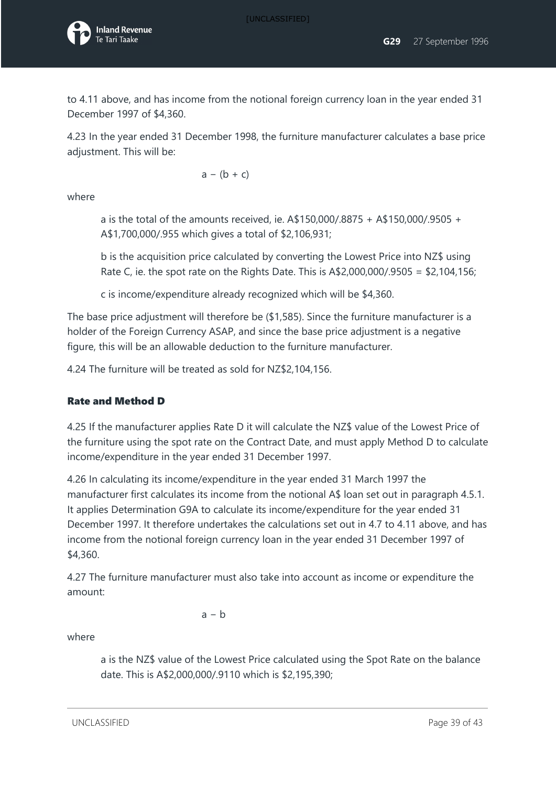[UNCLASSIFIED]



to 4.11 above, and has income from the notional foreign currency loan in the year ended 31 December 1997 of \$4,360.

4.23 In the year ended 31 December 1998, the furniture manufacturer calculates a base price adjustment. This will be:

 $a - (b + c)$ 

where

a is the total of the amounts received, ie. A\$150,000/.8875 + A\$150,000/.9505 + A\$1,700,000/.955 which gives a total of \$2,106,931;

b is the acquisition price calculated by converting the Lowest Price into NZ\$ using Rate C, ie. the spot rate on the Rights Date. This is  $A$2,000,000/.9505 = $2,104,156;$ 

c is income/expenditure already recognized which will be \$4,360.

The base price adjustment will therefore be (\$1,585). Since the furniture manufacturer is a holder of the Foreign Currency ASAP, and since the base price adjustment is a negative figure, this will be an allowable deduction to the furniture manufacturer.

4.24 The furniture will be treated as sold for NZ\$2,104,156.

#### Rate and Method D

4.25 If the manufacturer applies Rate D it will calculate the NZ\$ value of the Lowest Price of the furniture using the spot rate on the Contract Date, and must apply Method D to calculate income/expenditure in the year ended 31 December 1997.

4.26 In calculating its income/expenditure in the year ended 31 March 1997 the manufacturer first calculates its income from the notional A\$ loan set out in paragraph 4.5.1. It applies Determination G9A to calculate its income/expenditure for the year ended 31 December 1997. It therefore undertakes the calculations set out in 4.7 to 4.11 above, and has income from the notional foreign currency loan in the year ended 31 December 1997 of \$4,360.

4.27 The furniture manufacturer must also take into account as income or expenditure the amount:

 $a - b$ 

where

a is the NZ\$ value of the Lowest Price calculated using the Spot Rate on the balance date. This is A\$2,000,000/.9110 which is \$2,195,390;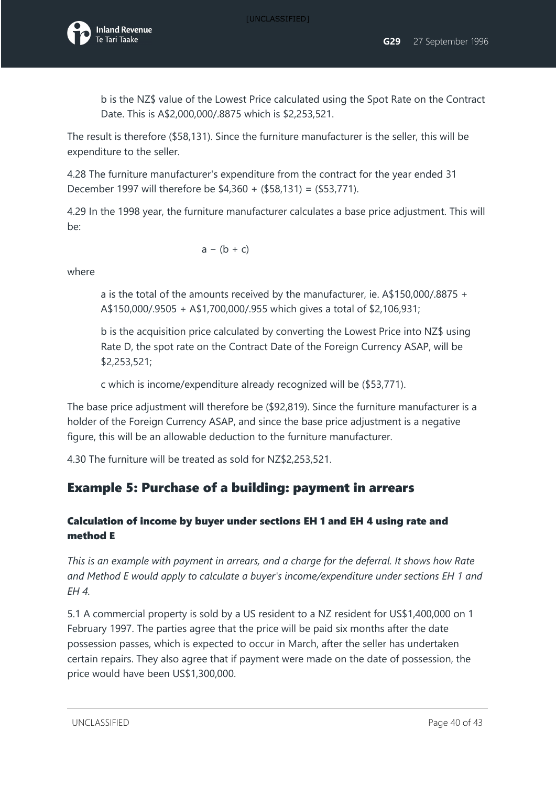

b is the NZ\$ value of the Lowest Price calculated using the Spot Rate on the Contract Date. This is A\$2,000,000/.8875 which is \$2,253,521.

The result is therefore (\$58,131). Since the furniture manufacturer is the seller, this will be expenditure to the seller.

4.28 The furniture manufacturer's expenditure from the contract for the year ended 31 December 1997 will therefore be \$4,360 + (\$58,131) = (\$53,771).

4.29 In the 1998 year, the furniture manufacturer calculates a base price adjustment. This will be:

$$
a - (b + c)
$$

where

a is the total of the amounts received by the manufacturer, ie. A\$150,000/.8875 + A\$150,000/.9505 + A\$1,700,000/.955 which gives a total of \$2,106,931;

b is the acquisition price calculated by converting the Lowest Price into NZ\$ using Rate D, the spot rate on the Contract Date of the Foreign Currency ASAP, will be \$2,253,521;

c which is income/expenditure already recognized will be (\$53,771).

The base price adjustment will therefore be (\$92,819). Since the furniture manufacturer is a holder of the Foreign Currency ASAP, and since the base price adjustment is a negative figure, this will be an allowable deduction to the furniture manufacturer.

4.30 The furniture will be treated as sold for NZ\$2,253,521.

## Example 5: Purchase of a building: payment in arrears

#### Calculation of income by buyer under sections EH 1 and EH 4 using rate and method E

*This is an example with payment in arrears, and a charge for the deferral. It shows how Rate and Method E would apply to calculate a buyer's income/expenditure under sections EH 1 and EH 4.*

5.1 A commercial property is sold by a US resident to a NZ resident for US\$1,400,000 on 1 February 1997. The parties agree that the price will be paid six months after the date possession passes, which is expected to occur in March, after the seller has undertaken certain repairs. They also agree that if payment were made on the date of possession, the price would have been US\$1,300,000.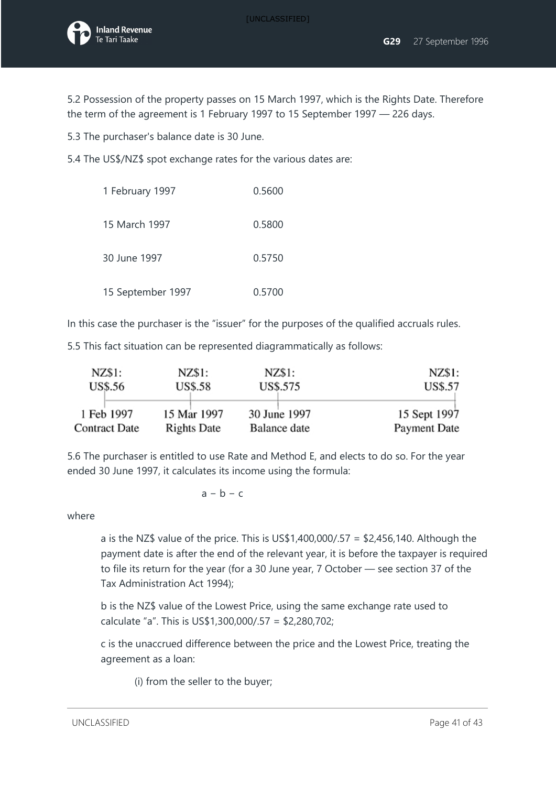

5.2 Possession of the property passes on 15 March 1997, which is the Rights Date. Therefore the term of the agreement is 1 February 1997 to 15 September 1997 — 226 days.

5.3 The purchaser's balance date is 30 June.

5.4 The US\$/NZ\$ spot exchange rates for the various dates are:

| 1 February 1997   | 0.5600 |
|-------------------|--------|
| 15 March 1997     | 0.5800 |
| 30 June 1997      | 0.5750 |
| 15 September 1997 | 0.5700 |

In this case the purchaser is the "issuer" for the purposes of the qualified accruals rules.

5.5 This fact situation can be represented diagrammatically as follows:

| NZ\$1:               | NZ\$1:         | NZ\$1:       | NZ\$1:         |
|----------------------|----------------|--------------|----------------|
| <b>US\$.56</b>       | <b>US\$.58</b> | US\$.575     | <b>US\$.57</b> |
| 1 Feb 1997           | 15 Mar 1997    | 30 June 1997 | 15 Sept 1997   |
| <b>Contract Date</b> | Rights Date    | Balance date | Payment Date   |

5.6 The purchaser is entitled to use Rate and Method E, and elects to do so. For the year ended 30 June 1997, it calculates its income using the formula:

 $a - b - c$ 

where

a is the NZ\$ value of the price. This is US\$1,400,000/.57 = \$2,456,140. Although the payment date is after the end of the relevant year, it is before the taxpayer is required to file its return for the year (for a 30 June year, 7 October — see section 37 of the Tax Administration Act 1994);

b is the NZ\$ value of the Lowest Price, using the same exchange rate used to calculate "a". This is US\$1,300,000/.57 = \$2,280,702;

c is the unaccrued difference between the price and the Lowest Price, treating the agreement as a loan:

(i) from the seller to the buyer;

UNCLASSIFIED **Page 41 of 43**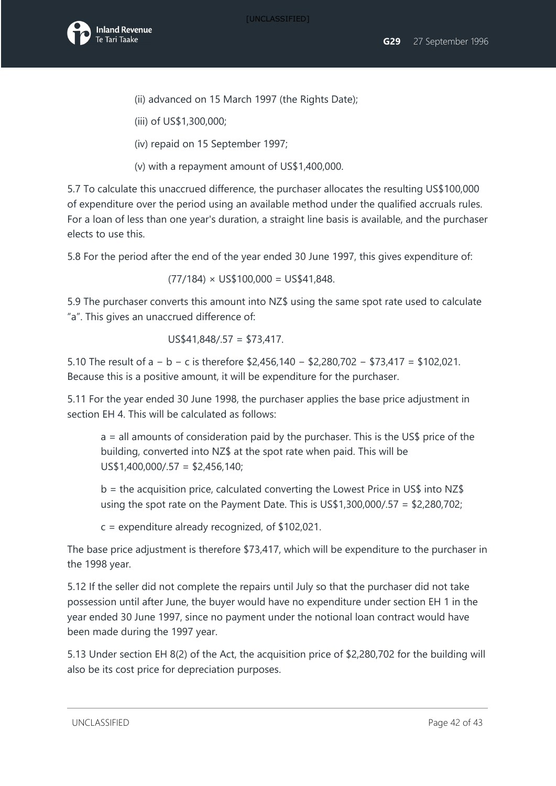

- (ii) advanced on 15 March 1997 (the Rights Date);
- (iii) of US\$1,300,000;
- (iv) repaid on 15 September 1997;
- (v) with a repayment amount of US\$1,400,000.

5.7 To calculate this unaccrued difference, the purchaser allocates the resulting US\$100,000 of expenditure over the period using an available method under the qualified accruals rules. For a loan of less than one year's duration, a straight line basis is available, and the purchaser elects to use this.

5.8 For the period after the end of the year ended 30 June 1997, this gives expenditure of:

$$
(77/184) \times US$100,000 = US$41,848.
$$

5.9 The purchaser converts this amount into NZ\$ using the same spot rate used to calculate "a". This gives an unaccrued difference of:

$$
US$41,848/.57 = $73,417.
$$

5.10 The result of a − b − c is therefore \$2,456,140 − \$2,280,702 − \$73,417 = \$102,021. Because this is a positive amount, it will be expenditure for the purchaser.

5.11 For the year ended 30 June 1998, the purchaser applies the base price adjustment in section EH 4. This will be calculated as follows:

a = all amounts of consideration paid by the purchaser. This is the US\$ price of the building, converted into NZ\$ at the spot rate when paid. This will be US\$1,400,000/.57 = \$2,456,140;

 $b =$  the acquisition price, calculated converting the Lowest Price in US\$ into NZ\$ using the spot rate on the Payment Date. This is US\$1,300,000/.57 = \$2,280,702;

c = expenditure already recognized, of \$102,021.

The base price adjustment is therefore \$73,417, which will be expenditure to the purchaser in the 1998 year.

5.12 If the seller did not complete the repairs until July so that the purchaser did not take possession until after June, the buyer would have no expenditure under section EH 1 in the year ended 30 June 1997, since no payment under the notional loan contract would have been made during the 1997 year.

5.13 Under section EH 8(2) of the Act, the acquisition price of \$2,280,702 for the building will also be its cost price for depreciation purposes.

UNCLASSIFIED Page 42 of 43